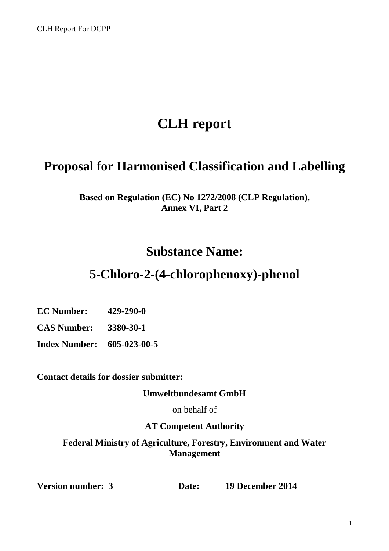# **CLH report**

# **Proposal for Harmonised Classification and Labelling**

**Based on Regulation (EC) No 1272/2008 (CLP Regulation), Annex VI, Part 2** 

# **Substance Name:**

# **5-Chloro-2-(4-chlorophenoxy)-phenol**

**EC Number: 429-290-0**

**CAS Number: 3380-30-1** 

**Index Number: 605-023-00-5**

**Contact details for dossier submitter:** 

**Umweltbundesamt GmbH** 

on behalf of

### **AT Competent Authority**

**Federal Ministry of Agriculture, Forestry, Environment and Water Management** 

**Version number: 3 Date: 19 December 2014**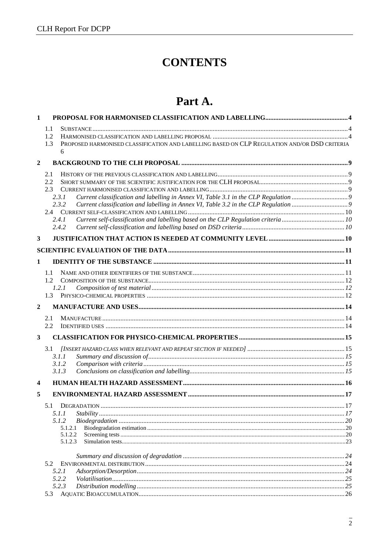# **CONTENTS**

# Part A.

| 1.1<br>1.2<br>PROPOSED HARMONISED CLASSIFICATION AND LABELLING BASED ON CLP REGULATION AND/OR DSD CRITERIA<br>1.3<br>6<br>$\overline{2}$<br>2.1<br>2.2<br>2.3<br>2.3.1<br>2.3.2<br>Current self-classification and labelling based on the CLP Regulation criteria10<br>2.4.1<br>2.4.2<br>3<br>1<br>1.1<br>1.2<br>1.2.1<br>1.3<br>$\overline{2}$<br>2.1<br>2.2<br>3<br>3.1<br>3.1.1<br>3.1.2<br>3.1.3<br>4<br>5<br>.17<br>5.1.1<br>5.1.2<br>5.1.2.1<br>5.1.2.2<br>5.1.2.3<br>5.2<br>5.2.1<br>5.2.2<br>5.2.3<br>5.3 | 1 |  |
|-------------------------------------------------------------------------------------------------------------------------------------------------------------------------------------------------------------------------------------------------------------------------------------------------------------------------------------------------------------------------------------------------------------------------------------------------------------------------------------------------------------------|---|--|
|                                                                                                                                                                                                                                                                                                                                                                                                                                                                                                                   |   |  |
|                                                                                                                                                                                                                                                                                                                                                                                                                                                                                                                   |   |  |
|                                                                                                                                                                                                                                                                                                                                                                                                                                                                                                                   |   |  |
|                                                                                                                                                                                                                                                                                                                                                                                                                                                                                                                   |   |  |
|                                                                                                                                                                                                                                                                                                                                                                                                                                                                                                                   |   |  |
|                                                                                                                                                                                                                                                                                                                                                                                                                                                                                                                   |   |  |
|                                                                                                                                                                                                                                                                                                                                                                                                                                                                                                                   |   |  |
|                                                                                                                                                                                                                                                                                                                                                                                                                                                                                                                   |   |  |
|                                                                                                                                                                                                                                                                                                                                                                                                                                                                                                                   |   |  |
|                                                                                                                                                                                                                                                                                                                                                                                                                                                                                                                   |   |  |
|                                                                                                                                                                                                                                                                                                                                                                                                                                                                                                                   |   |  |
|                                                                                                                                                                                                                                                                                                                                                                                                                                                                                                                   |   |  |
|                                                                                                                                                                                                                                                                                                                                                                                                                                                                                                                   |   |  |
|                                                                                                                                                                                                                                                                                                                                                                                                                                                                                                                   |   |  |
|                                                                                                                                                                                                                                                                                                                                                                                                                                                                                                                   |   |  |
|                                                                                                                                                                                                                                                                                                                                                                                                                                                                                                                   |   |  |
|                                                                                                                                                                                                                                                                                                                                                                                                                                                                                                                   |   |  |
|                                                                                                                                                                                                                                                                                                                                                                                                                                                                                                                   |   |  |
|                                                                                                                                                                                                                                                                                                                                                                                                                                                                                                                   |   |  |
|                                                                                                                                                                                                                                                                                                                                                                                                                                                                                                                   |   |  |
|                                                                                                                                                                                                                                                                                                                                                                                                                                                                                                                   |   |  |
|                                                                                                                                                                                                                                                                                                                                                                                                                                                                                                                   |   |  |
|                                                                                                                                                                                                                                                                                                                                                                                                                                                                                                                   |   |  |
|                                                                                                                                                                                                                                                                                                                                                                                                                                                                                                                   |   |  |
|                                                                                                                                                                                                                                                                                                                                                                                                                                                                                                                   |   |  |
|                                                                                                                                                                                                                                                                                                                                                                                                                                                                                                                   |   |  |
|                                                                                                                                                                                                                                                                                                                                                                                                                                                                                                                   |   |  |
|                                                                                                                                                                                                                                                                                                                                                                                                                                                                                                                   |   |  |
|                                                                                                                                                                                                                                                                                                                                                                                                                                                                                                                   |   |  |
|                                                                                                                                                                                                                                                                                                                                                                                                                                                                                                                   |   |  |
|                                                                                                                                                                                                                                                                                                                                                                                                                                                                                                                   |   |  |
|                                                                                                                                                                                                                                                                                                                                                                                                                                                                                                                   |   |  |
|                                                                                                                                                                                                                                                                                                                                                                                                                                                                                                                   |   |  |
|                                                                                                                                                                                                                                                                                                                                                                                                                                                                                                                   |   |  |
|                                                                                                                                                                                                                                                                                                                                                                                                                                                                                                                   |   |  |
|                                                                                                                                                                                                                                                                                                                                                                                                                                                                                                                   |   |  |
|                                                                                                                                                                                                                                                                                                                                                                                                                                                                                                                   |   |  |
|                                                                                                                                                                                                                                                                                                                                                                                                                                                                                                                   |   |  |
|                                                                                                                                                                                                                                                                                                                                                                                                                                                                                                                   |   |  |
|                                                                                                                                                                                                                                                                                                                                                                                                                                                                                                                   |   |  |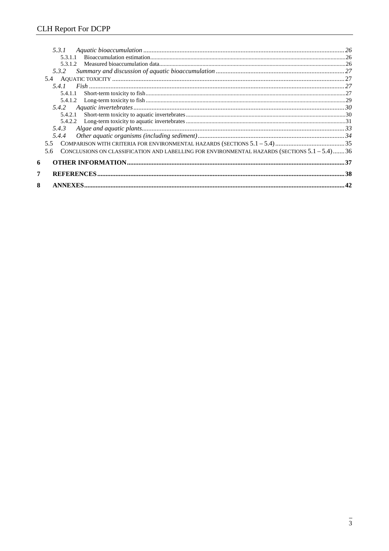|   | 5.3.1                                                                                                    |  |
|---|----------------------------------------------------------------------------------------------------------|--|
|   | 5.3.1.1                                                                                                  |  |
|   | 5.3.1.2                                                                                                  |  |
|   | 5.3.2                                                                                                    |  |
|   |                                                                                                          |  |
|   | 5.4.1                                                                                                    |  |
|   | 5.4.1.1                                                                                                  |  |
|   |                                                                                                          |  |
|   |                                                                                                          |  |
|   |                                                                                                          |  |
|   |                                                                                                          |  |
|   | 5.4.3                                                                                                    |  |
|   | 5.4.4                                                                                                    |  |
|   | 55                                                                                                       |  |
|   | CONCLUSIONS ON CLASSIFICATION AND LABELLING FOR ENVIRONMENTAL HAZARDS (SECTIONS $5.1 - 5.4$ )  36<br>5.6 |  |
| 6 |                                                                                                          |  |
|   |                                                                                                          |  |
| 8 |                                                                                                          |  |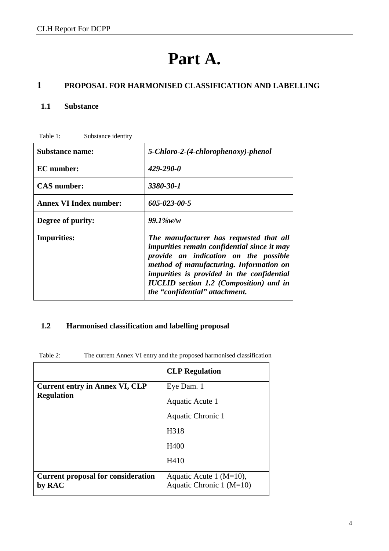# **Part A.**

### **1 PROPOSAL FOR HARMONISED CLASSIFICATION AND LABELLING**

#### **1.1 Substance**

| <b>Substance name:</b>        | 5-Chloro-2-(4-chlorophenoxy)-phenol                                                                                                                                                                                                                                                                                        |
|-------------------------------|----------------------------------------------------------------------------------------------------------------------------------------------------------------------------------------------------------------------------------------------------------------------------------------------------------------------------|
| <b>EC</b> number:             | $429 - 290 - 0$                                                                                                                                                                                                                                                                                                            |
| <b>CAS</b> number:            | 3380-30-1                                                                                                                                                                                                                                                                                                                  |
| <b>Annex VI Index number:</b> | 605-023-00-5                                                                                                                                                                                                                                                                                                               |
| Degree of purity:             | $99.1\%$ w/w                                                                                                                                                                                                                                                                                                               |
| <b>Impurities:</b>            | The manufacturer has requested that all<br><i>impurities remain confidential since it may</i><br>provide an indication on the possible<br>method of manufacturing. Information on<br><i>impurities is provided in the confidential</i><br><b>IUCLID</b> section 1.2 (Composition) and in<br>the "confidential" attachment. |

#### **1.2 Harmonised classification and labelling proposal**

Table 2: The current Annex VI entry and the proposed harmonised classification

|                                                     | <b>CLP</b> Regulation                                   |
|-----------------------------------------------------|---------------------------------------------------------|
| <b>Current entry in Annex VI, CLP</b>               | Eye Dam. 1                                              |
| <b>Regulation</b>                                   | Aquatic Acute 1                                         |
|                                                     | Aquatic Chronic 1                                       |
|                                                     | H318                                                    |
|                                                     | H400                                                    |
|                                                     | H410                                                    |
| <b>Current proposal for consideration</b><br>by RAC | Aquatic Acute 1 ( $M=10$ ),<br>Aquatic Chronic 1 (M=10) |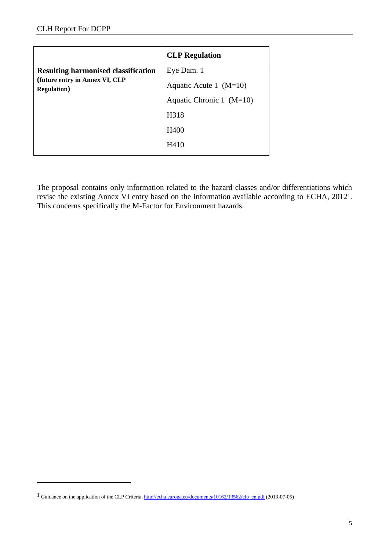$\overline{a}$ 

|                                                       | <b>CLP</b> Regulation      |
|-------------------------------------------------------|----------------------------|
| <b>Resulting harmonised classification</b>            | Eye Dam. 1                 |
| (future entry in Annex VI, CLP<br><b>Regulation</b> ) | Aquatic Acute 1 $(M=10)$   |
|                                                       | Aquatic Chronic 1 $(M=10)$ |
|                                                       | H318                       |
|                                                       | H400                       |
|                                                       | H410                       |

The proposal contains only information related to the hazard classes and/or differentiations which revise the existing Annex VI entry based on the information available according to ECHA, 20121. This concerns specifically the M-Factor for Environment hazards.

<sup>&</sup>lt;sup>1</sup> Guidance on the application of the CLP Criteria, [http://echa.europa.eu/documents/10162/13562/clp\\_en.pdf](http://echa.europa.eu/documents/10162/13562/clp_en.pdf) (2013-07-05)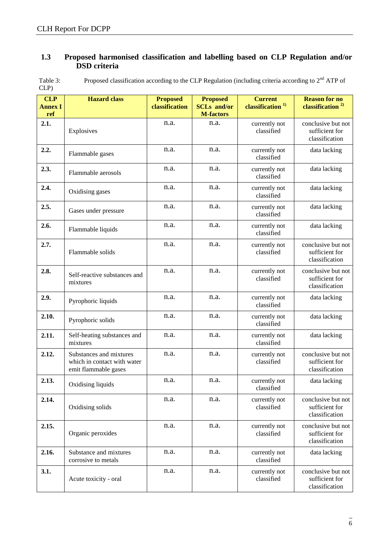#### **1.3 Proposed harmonised classification and labelling based on CLP Regulation and/or DSD criteria**

| Table 3: | Proposed classification according to the CLP Regulation (including criteria according to $2nd$ ATP of |
|----------|-------------------------------------------------------------------------------------------------------|
| CLP      |                                                                                                       |

| <b>CLP</b><br><b>Annex I</b><br>ref | <b>Hazard</b> class                                                            | <b>Proposed</b><br>classification | <b>Proposed</b><br><b>SCLs</b> and/or<br><b>M-factors</b> | <b>Current</b><br>classification <sup>1)</sup> | <b>Reason for no</b><br>classification <sup>2)</sup>   |
|-------------------------------------|--------------------------------------------------------------------------------|-----------------------------------|-----------------------------------------------------------|------------------------------------------------|--------------------------------------------------------|
| 2.1.                                | Explosives                                                                     | n.a.                              | n.a.                                                      | currently not<br>classified                    | conclusive but not<br>sufficient for<br>classification |
| 2.2.                                | Flammable gases                                                                | n.a.                              | n.a.                                                      | currently not<br>classified                    | data lacking                                           |
| 2.3.                                | Flammable aerosols                                                             | n.a.                              | n.a.                                                      | currently not<br>classified                    | data lacking                                           |
| 2.4.                                | Oxidising gases                                                                | n.a.                              | n.a.                                                      | currently not<br>classified                    | data lacking                                           |
| 2.5.                                | Gases under pressure                                                           | n.a.                              | n.a.                                                      | currently not<br>classified                    | data lacking                                           |
| 2.6.                                | Flammable liquids                                                              | n.a.                              | n.a.                                                      | currently not<br>classified                    | data lacking                                           |
| 2.7.                                | Flammable solids                                                               | n.a.                              | n.a.                                                      | currently not<br>classified                    | conclusive but not<br>sufficient for<br>classification |
| 2.8.                                | Self-reactive substances and<br>mixtures                                       | n.a.                              | n.a.                                                      | currently not<br>classified                    | conclusive but not<br>sufficient for<br>classification |
| 2.9.                                | Pyrophoric liquids                                                             | n.a.                              | n.a.                                                      | currently not<br>classified                    | data lacking                                           |
| 2.10.                               | Pyrophoric solids                                                              | n.a.                              | n.a.                                                      | currently not<br>classified                    | data lacking                                           |
| 2.11.                               | Self-heating substances and<br>mixtures                                        | n.a.                              | n.a.                                                      | currently not<br>classified                    | data lacking                                           |
| 2.12.                               | Substances and mixtures<br>which in contact with water<br>emit flammable gases | n.a.                              | n.a.                                                      | currently not<br>classified                    | conclusive but not<br>sufficient for<br>classification |
| 2.13.                               | Oxidising liquids                                                              | n.a.                              | n.a.                                                      | currently not<br>classified                    | data lacking                                           |
| 2.14.                               | Oxidising solids                                                               | n.a.                              | n.a.                                                      | currently not<br>classified                    | conclusive but not<br>sufficient for<br>classification |
| 2.15.                               | Organic peroxides                                                              | n.a.                              | n.a.                                                      | currently not<br>classified                    | conclusive but not<br>sufficient for<br>classification |
| 2.16.                               | Substance and mixtures<br>corrosive to metals                                  | n.a.                              | n.a.                                                      | currently not<br>classified                    | data lacking                                           |
| 3.1.                                | Acute toxicity - oral                                                          | n.a.                              | n.a.                                                      | currently not<br>classified                    | conclusive but not<br>sufficient for<br>classification |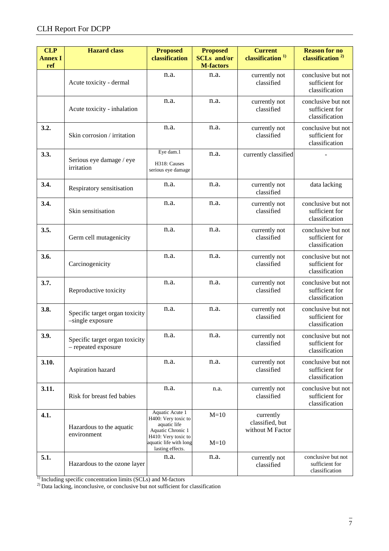| <b>CLP</b><br><b>Annex I</b> | <b>Hazard class</b>                                   | <b>Proposed</b><br>classification                                                                                                                | <b>Proposed</b><br><b>SCLs</b> and/or | <b>Current</b><br>classification <sup>1)</sup>   | <b>Reason for no</b><br>classification <sup>2)</sup>   |
|------------------------------|-------------------------------------------------------|--------------------------------------------------------------------------------------------------------------------------------------------------|---------------------------------------|--------------------------------------------------|--------------------------------------------------------|
| ref                          |                                                       |                                                                                                                                                  | <b>M-factors</b>                      |                                                  |                                                        |
|                              | Acute toxicity - dermal                               | n.a.                                                                                                                                             | n.a.                                  | currently not<br>classified                      | conclusive but not<br>sufficient for<br>classification |
|                              | Acute toxicity - inhalation                           | n.a.                                                                                                                                             | n.a.                                  | currently not<br>classified                      | conclusive but not<br>sufficient for<br>classification |
| 3.2.                         | Skin corrosion / irritation                           | n.a.                                                                                                                                             | n.a.                                  | currently not<br>classified                      | conclusive but not<br>sufficient for<br>classification |
| 3.3.                         | Serious eye damage / eye<br>irritation                | Eye dam.1<br>H318: Causes<br>serious eye damage                                                                                                  | n.a.                                  | currently classified                             |                                                        |
| 3.4.                         | Respiratory sensitisation                             | n.a.                                                                                                                                             | n.a.                                  | currently not<br>classified                      | data lacking                                           |
| 3.4.                         | Skin sensitisation                                    | n.a.                                                                                                                                             | n.a.                                  | currently not<br>classified                      | conclusive but not<br>sufficient for<br>classification |
| 3.5.                         | Germ cell mutagenicity                                | n.a.                                                                                                                                             | n.a.                                  | currently not<br>classified                      | conclusive but not<br>sufficient for<br>classification |
| 3.6.                         | Carcinogenicity                                       | n.a.                                                                                                                                             | n.a.                                  | currently not<br>classified                      | conclusive but not<br>sufficient for<br>classification |
| 3.7.                         | Reproductive toxicity                                 | n.a.                                                                                                                                             | n.a.                                  | currently not<br>classified                      | conclusive but not<br>sufficient for<br>classification |
| 3.8.                         | Specific target organ toxicity<br>-single exposure    | n.a.                                                                                                                                             | n.a.                                  | currently not<br>classified                      | conclusive but not<br>sufficient for<br>classification |
| 3.9.                         | Specific target organ toxicity<br>- repeated exposure | n.a.                                                                                                                                             | n.a.                                  | currently not<br>classified                      | conclusive but not<br>sufficient for<br>classification |
| 3.10.                        | Aspiration hazard                                     | n.a.                                                                                                                                             | n.a.                                  | currently not<br>classified                      | conclusive but not<br>sufficient for<br>classification |
| 3.11.                        | Risk for breast fed babies                            | n.a.                                                                                                                                             | n.a.                                  | currently not<br>classified                      | conclusive but not<br>sufficient for<br>classification |
| 4.1.                         | Hazardous to the aquatic<br>environment               | Aquatic Acute 1<br>H400: Very toxic to<br>aquatic life<br>Aquatic Chronic 1<br>H410: Very toxic to<br>aquatic life with long<br>lasting effects. | $M=10$<br>$M=10$                      | currently<br>classified, but<br>without M Factor |                                                        |
| 5.1.                         | Hazardous to the ozone layer                          | n.a.                                                                                                                                             | n.a.                                  | currently not<br>classified                      | conclusive but not<br>sufficient for<br>classification |

 $<sup>1</sup>$  Including specific concentration limits (SCLs) and M-factors</sup>

 $^{2)}$  Data lacking, inconclusive, or conclusive but not sufficient for classification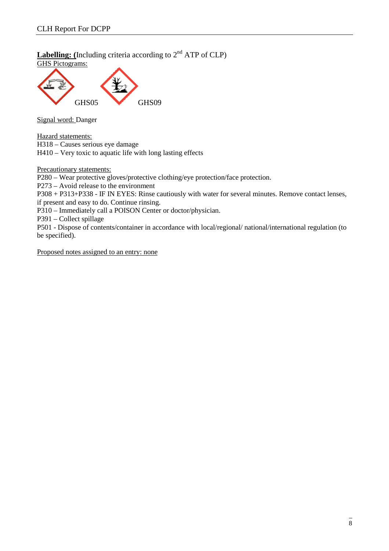**Labelling:** (Including criteria according to  $2<sup>nd</sup>$  ATP of CLP) GHS Pictograms:



Signal word: Danger

Hazard statements:

H318 – Causes serious eye damage

H410 – Very toxic to aquatic life with long lasting effects

Precautionary statements:

P280 – Wear protective gloves/protective clothing/eye protection/face protection.

P273 – Avoid release to the environment

P308 + P313+P338 - IF IN EYES: Rinse cautiously with water for several minutes. Remove contact lenses, if present and easy to do. Continue rinsing.

P310 – Immediately call a POISON Center or doctor/physician.

P391 – Collect spillage

P501 - Dispose of contents/container in accordance with local/regional/ national/international regulation (to be specified).

Proposed notes assigned to an entry: none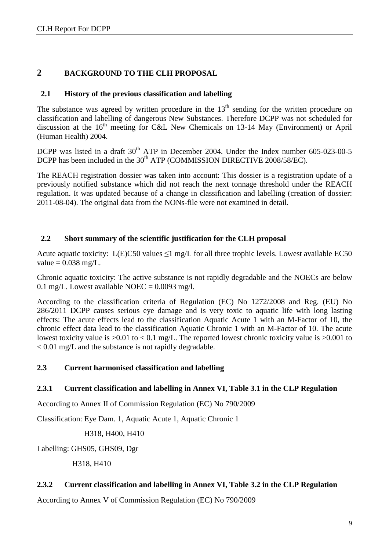#### **2 BACKGROUND TO THE CLH PROPOSAL**

#### **2.1 History of the previous classification and labelling**

The substance was agreed by written procedure in the  $13<sup>th</sup>$  sending for the written procedure on classification and labelling of dangerous New Substances. Therefore DCPP was not scheduled for discussion at the  $16<sup>th</sup>$  meeting for C&L New Chemicals on 13-14 May (Environment) or April (Human Health) 2004.

DCPP was listed in a draft 30<sup>th</sup> ATP in December 2004. Under the Index number 605-023-00-5 DCPP has been included in the 30<sup>th</sup> ATP (COMMISSION DIRECTIVE 2008/58/EC).

The REACH registration dossier was taken into account: This dossier is a registration update of a previously notified substance which did not reach the next tonnage threshold under the REACH regulation. It was updated because of a change in classification and labelling (creation of dossier: 2011-08-04). The original data from the NONs-file were not examined in detail.

#### **2.2 Short summary of the scientific justification for the CLH proposal**

Acute aquatic toxicity:  $L(E)C50$  values  $\leq 1$  mg/L for all three trophic levels. Lowest available EC50 value  $= 0.038$  mg/L.

Chronic aquatic toxicity: The active substance is not rapidly degradable and the NOECs are below 0.1 mg/L. Lowest available NOEC =  $0.0093$  mg/l.

According to the classification criteria of Regulation (EC) No 1272/2008 and Reg. (EU) No 286/2011 DCPP causes serious eye damage and is very toxic to aquatic life with long lasting effects: The acute effects lead to the classification Aquatic Acute 1 with an M-Factor of 10, the chronic effect data lead to the classification Aquatic Chronic 1 with an M-Factor of 10. The acute lowest toxicity value is  $>0.01$  to  $< 0.1$  mg/L. The reported lowest chronic toxicity value is  $>0.001$  to < 0.01 mg/L and the substance is not rapidly degradable.

#### **2.3 Current harmonised classification and labelling**

#### **2.3.1 Current classification and labelling in Annex VI, Table 3.1 in the CLP Regulation**

According to Annex II of Commission Regulation (EC) No 790/2009

Classification: Eye Dam. 1, Aquatic Acute 1, Aquatic Chronic 1

H318, H400, H410

Labelling: GHS05, GHS09, Dgr

H318, H410

#### **2.3.2 Current classification and labelling in Annex VI, Table 3.2 in the CLP Regulation**

According to Annex V of Commission Regulation (EC) No 790/2009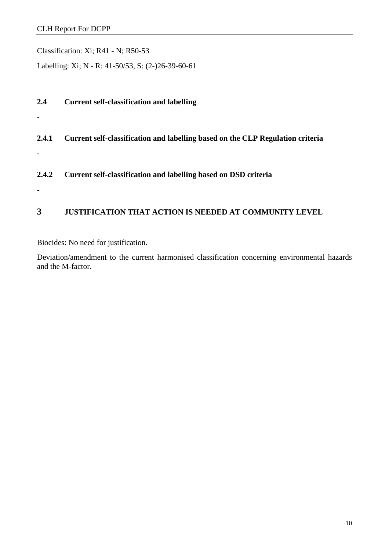Classification: Xi; R41 - N; R50-53

Labelling: Xi; N - R: 41-50/53, S: (2-)26-39-60-61

| 2.4   | <b>Current self-classification and labelling</b>                               |
|-------|--------------------------------------------------------------------------------|
| 2.4.1 | Current self-classification and labelling based on the CLP Regulation criteria |
|       |                                                                                |
| 2.4.2 | Current self-classification and labelling based on DSD criteria                |
|       |                                                                                |
| 3     | <b>JUSTIFICATION THAT ACTION IS NEEDED AT COMMUNITY LEVEL</b>                  |

Biocides: No need for justification.

Deviation/amendment to the current harmonised classification concerning environmental hazards and the M-factor.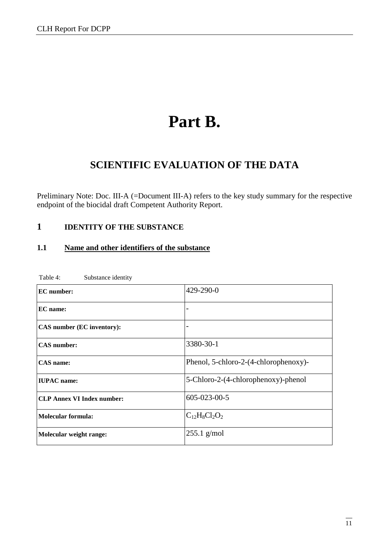# **Part B.**

## **SCIENTIFIC EVALUATION OF THE DATA**

Preliminary Note: Doc. III-A (=Document III-A) refers to the key study summary for the respective endpoint of the biocidal draft Competent Authority Report.

#### **1 IDENTITY OF THE SUBSTANCE**

#### **1.1 Name and other identifiers of the substance**

| <b>EC</b> number:                 | 429-290-0                             |
|-----------------------------------|---------------------------------------|
| EC name:                          |                                       |
| CAS number (EC inventory):        |                                       |
| <b>CAS</b> number:                | 3380-30-1                             |
| <b>CAS</b> name:                  | Phenol, 5-chloro-2-(4-chlorophenoxy)- |
| <b>IUPAC</b> name:                | 5-Chloro-2-(4-chlorophenoxy)-phenol   |
| <b>CLP Annex VI Index number:</b> | $605 - 023 - 00 - 5$                  |
| <b>Molecular formula:</b>         | $C_{12}H_8Cl_2O_2$                    |
| Molecular weight range:           | $255.1$ g/mol                         |

Table 4: Substance identity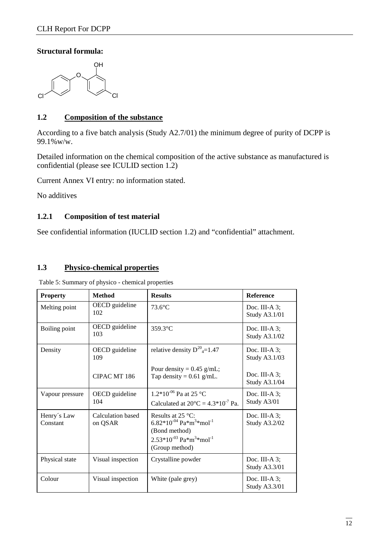#### **Structural formula:**



#### **1.2 Composition of the substance**

According to a five batch analysis (Study A2.7/01) the minimum degree of purity of DCPP is 99.1%w/w.

Detailed information on the chemical composition of the active substance as manufactured is confidential (please see ICULID section 1.2)

Current Annex VI entry: no information stated.

No additives

#### **1.2.1 Composition of test material**

See confidential information (IUCLID section 1.2) and "confidential" attachment.

#### **1.3 Physico-chemical properties**

| <b>Property</b>         | <b>Method</b>                | <b>Results</b>                                                                                                                                                     | <b>Reference</b>                         |
|-------------------------|------------------------------|--------------------------------------------------------------------------------------------------------------------------------------------------------------------|------------------------------------------|
| Melting point           | OECD guideline<br>102        | $73.6^{\circ}$ C                                                                                                                                                   | Doc. III-A $3$ ;<br>Study A3.1/01        |
| Boiling point           | OECD guideline<br>103        | $359.3$ °C                                                                                                                                                         | Doc. III-A $3$ ;<br>Study A3.1/02        |
| Density                 | OECD guideline<br>109        | relative density $D^{20}_{4}$ =1.47                                                                                                                                | Doc. III-A 3;<br>Study A3.1/03           |
|                         | CIPAC MT 186                 | Pour density = $0.45$ g/mL;<br>Tap density = $0.61$ g/mL.                                                                                                          | Doc. III-A $3$ ;<br><b>Study A3.1/04</b> |
| Vapour pressure         | OECD guideline<br>104        | 1.2*10 <sup>-06</sup> Pa at 25 °C<br>Calculated at $20^{\circ}$ C = 4.3*10 <sup>-7</sup> Pa.                                                                       | Doc. III-A 3;<br>Study A3/01             |
| Henry's Law<br>Constant | Calculation based<br>on QSAR | Results at $25^{\circ}$ C:<br>$6.82*10^{-04}$ Pa $*$ m <sup>3</sup> $*$ mol <sup>-1</sup><br>(Bond method)<br>$2.53*10^{-03}$ Pa $*m^3*mol^{-1}$<br>(Group method) | Doc. III-A $3$ :<br>Study A3.2/02        |
| Physical state          | Visual inspection            | Crystalline powder                                                                                                                                                 | Doc. III-A $3$ :<br><b>Study A3.3/01</b> |
| Colour                  | Visual inspection            | White (pale grey)                                                                                                                                                  | Doc. III-A 3;<br><b>Study A3.3/01</b>    |

Table 5: Summary of physico - chemical properties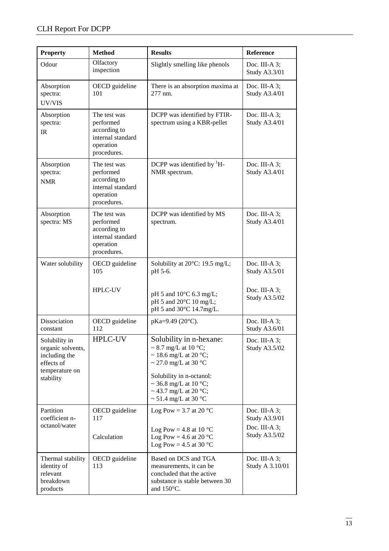| <b>Property</b>                                                                                  | <b>Method</b>                                                                              | <b>Results</b>                                                                                                                                                                                                                            | Reference                                                                     |
|--------------------------------------------------------------------------------------------------|--------------------------------------------------------------------------------------------|-------------------------------------------------------------------------------------------------------------------------------------------------------------------------------------------------------------------------------------------|-------------------------------------------------------------------------------|
| Odour                                                                                            | Olfactory<br>inspection                                                                    | Slightly smelling like phenols                                                                                                                                                                                                            | Doc. III-A 3;<br>Study A3.3/01                                                |
| Absorption<br>spectra:<br>UV/VIS                                                                 | OECD guideline<br>101                                                                      | There is an absorption maxima at<br>277 nm.                                                                                                                                                                                               | Doc. III-A 3;<br><b>Study A3.4/01</b>                                         |
| Absorption<br>spectra:<br><b>IR</b>                                                              | The test was<br>performed<br>according to<br>internal standard<br>operation<br>procedures. | DCPP was identified by FTIR-<br>spectrum using a KBR-pellet                                                                                                                                                                               | Doc. III-A $3$ ;<br><b>Study A3.4/01</b>                                      |
| Absorption<br>spectra:<br><b>NMR</b>                                                             | The test was<br>performed<br>according to<br>internal standard<br>operation<br>procedures. | DCPP was identified by ${}^{1}H-$<br>NMR spectrum.                                                                                                                                                                                        | Doc. III-A $3$ ;<br><b>Study A3.4/01</b>                                      |
| Absorption<br>spectra: MS                                                                        | The test was<br>performed<br>according to<br>internal standard<br>operation<br>procedures. | DCPP was identified by MS<br>spectrum.                                                                                                                                                                                                    | Doc. III-A $3$ ;<br><b>Study A3.4/01</b>                                      |
| Water solubility                                                                                 | OECD guideline<br>105                                                                      | Solubility at 20°C: 19.5 mg/L;<br>pH 5-6.                                                                                                                                                                                                 | Doc. III-A 3;<br>Study A3.5/01                                                |
|                                                                                                  | <b>HPLC-UV</b>                                                                             | pH 5 and 10°C 6.3 mg/L;<br>pH 5 and 20°C 10 mg/L;<br>pH 5 and 30°C 14.7mg/L.                                                                                                                                                              | Doc. III-A 3;<br>Study A3.5/02                                                |
| Dissociation<br>constant                                                                         | OECD guideline<br>112                                                                      | pKa=9.49 (20°C).                                                                                                                                                                                                                          | Doc. III-A 3;<br>Study A3.6/01                                                |
| Solubility in<br>organic solvents,<br>including the<br>effects of<br>temperature on<br>stability | <b>HPLC-UV</b>                                                                             | Solubility in n-hexane:<br>$\sim$ 8.7 mg/L at 10 °C;<br>$\sim$ 18.6 mg/L at 20 °C;<br>~ 27.0 mg/L at 30 $^{\circ}$ C<br>Solubility in n-octanol:<br>~ 36.8 mg/L at 10 °C;<br>~ 43.7 mg/L at 20 $^{\circ}$ C;<br>$\sim$ 51.4 mg/L at 30 °C | Doc. III-A 3;<br>Study A3.5/02                                                |
| Partition<br>coefficient n-<br>octanol/water                                                     | OECD guideline<br>117<br>Calculation                                                       | Log Pow = 3.7 at 20 $^{\circ}$ C<br>Log Pow = 4.8 at 10 $^{\circ}$ C<br>Log Pow = 4.6 at 20 $^{\circ}$ C<br>Log Pow = 4.5 at 30 $^{\circ}$ C                                                                                              | Doc. III-A $3$ ;<br><b>Study A3.9/01</b><br>Doc. III-A $3$ ;<br>Study A3.5/02 |
| Thermal stability<br>identity of<br>relevant<br>breakdown<br>products                            | OECD guideline<br>113                                                                      | Based on DCS and TGA<br>measurements, it can be<br>concluded that the active<br>substance is stable between 30<br>and 150°C.                                                                                                              | Doc. III-A $3$ ;<br>Study A 3.10/01                                           |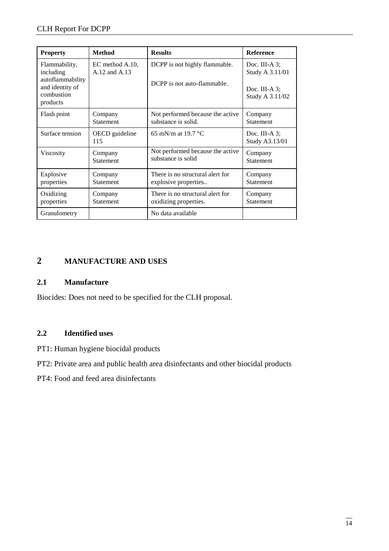| <b>Property</b>                                                                             | <b>Method</b>                    | <b>Results</b>                                               | <b>Reference</b>                                                           |
|---------------------------------------------------------------------------------------------|----------------------------------|--------------------------------------------------------------|----------------------------------------------------------------------------|
| Flammability,<br>including<br>autoflammability<br>and identity of<br>combustion<br>products | EC method A.10,<br>A.12 and A.13 | DCPP is not highly flammable.<br>DCPP is not auto-flammable. | Doc. III-A $3$ ;<br>Study A 3.11/01<br>Doc. III-A $3$ ;<br>Study A 3.11/02 |
| Flash point                                                                                 | Company                          | Not performed because the active                             | Company                                                                    |
|                                                                                             | <b>Statement</b>                 | substance is solid.                                          | <b>Statement</b>                                                           |
| Surface tension                                                                             | OECD guideline<br>115            | 65 mN/m at 19.7 $^{\circ}$ C                                 | Doc. III-A $3$ ;<br>Study A3.13/01                                         |
| Viscosity                                                                                   | Company                          | Not performed because the active                             | Company                                                                    |
|                                                                                             | <b>Statement</b>                 | substance is solid                                           | Statement                                                                  |
| Explosive                                                                                   | Company                          | There is no structural alert for                             | Company                                                                    |
| properties                                                                                  | <b>Statement</b>                 | explosive properties                                         | <b>Statement</b>                                                           |
| Oxidizing                                                                                   | Company                          | There is no structural alert for                             | Company                                                                    |
| properties                                                                                  | Statement                        | oxidizing properties.                                        | Statement                                                                  |
| Granulometry                                                                                |                                  | No data available                                            |                                                                            |

## **2 MANUFACTURE AND USES**

#### **2.1 Manufacture**

Biocides: Does not need to be specified for the CLH proposal.

#### **2.2 Identified uses**

- PT1: Human hygiene biocidal products
- PT2: Private area and public health area disinfectants and other biocidal products
- PT4: Food and feed area disinfectants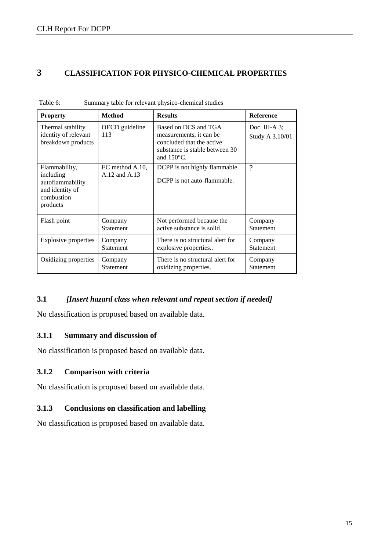#### **3 CLASSIFICATION FOR PHYSICO-CHEMICAL PROPERTIES**

| <b>Property</b>                                                                             | <b>Method</b>                    | <b>Results</b>                                                                                                                         | Reference                           |
|---------------------------------------------------------------------------------------------|----------------------------------|----------------------------------------------------------------------------------------------------------------------------------------|-------------------------------------|
| Thermal stability<br>identity of relevant<br>breakdown products                             | OECD guideline<br>113            | Based on DCS and TGA<br>measurements, it can be<br>concluded that the active<br>substance is stable between 30<br>and $150^{\circ}$ C. | Doc. III-A $3$ :<br>Study A 3.10/01 |
| Flammability,<br>including<br>autoflammability<br>and identity of<br>combustion<br>products | EC method A.10.<br>A.12 and A.13 | DCPP is not highly flammable.<br>DCPP is not auto-flammable.                                                                           | $\gamma$                            |
| Flash point                                                                                 | Company                          | Not performed because the                                                                                                              | Company                             |
|                                                                                             | <b>Statement</b>                 | active substance is solid.                                                                                                             | <b>Statement</b>                    |
| Explosive properties                                                                        | Company                          | There is no structural alert for                                                                                                       | Company                             |
|                                                                                             | <b>Statement</b>                 | explosive properties                                                                                                                   | Statement                           |
| Oxidizing properties                                                                        | Company                          | There is no structural alert for                                                                                                       | Company                             |
|                                                                                             | Statement                        | oxidizing properties.                                                                                                                  | Statement                           |

Table 6: Summary table for relevant physico-chemical studies

#### **3.1** *[Insert hazard class when relevant and repeat section if needed]*

No classification is proposed based on available data.

#### **3.1.1 Summary and discussion of**

No classification is proposed based on available data.

#### **3.1.2 Comparison with criteria**

No classification is proposed based on available data.

#### **3.1.3 Conclusions on classification and labelling**

No classification is proposed based on available data.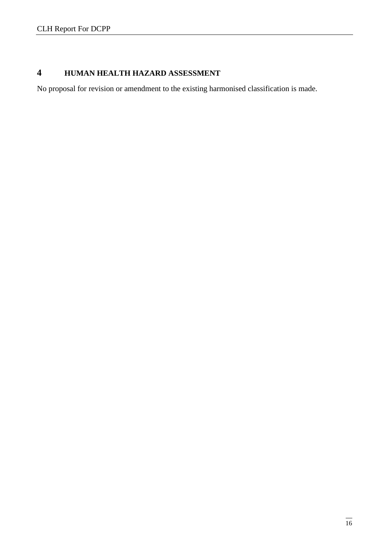## **4 HUMAN HEALTH HAZARD ASSESSMENT**

No proposal for revision or amendment to the existing harmonised classification is made.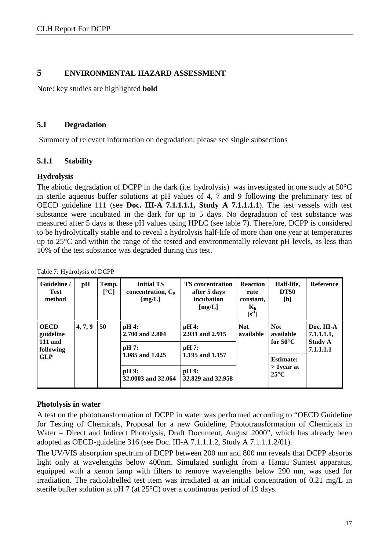#### **5 ENVIRONMENTAL HAZARD ASSESSMENT**

Note: key studies are highlighted **bold**

#### **5.1 Degradation**

Summary of relevant information on degradation: please see single subsections

#### **5.1.1 Stability**

#### **Hydrolysis**

The abiotic degradation of DCPP in the dark (i.e. hydrolysis) was investigated in one study at 50°C in sterile aqueous buffer solutions at pH values of 4, 7 and 9 following the preliminary test of OECD guideline 111 (see **Doc. III-A 7.1.1.1.1, Study A 7.1.1.1.1**). The test vessels with test substance were incubated in the dark for up to 5 days. No degradation of test substance was measured after 5 days at these pH values using HPLC (see table 7). Therefore, DCPP is considered to be hydrolytically stable and to reveal a hydrolysis half-life of more than one year at temperatures up to 25°C and within the range of the tested and environmentally relevant pH levels, as less than 10% of the test substance was degraded during this test.

| Guideline /<br><b>Test</b><br>method      | pH      | Temp.<br>$\mathsf{I}^\circ\mathbf{C}$ | <b>Initial TS</b><br>concentration, $C_0$<br>[mg/L] | <b>TS</b> concentration<br>after 5 days<br>incubation<br>[mg/L] | <b>Reaction</b><br>rate<br>constant,<br>$K_h$<br>$[s^{-1}]$ | Half-life,<br><b>DT50</b><br>[h] | <b>Reference</b>         |
|-------------------------------------------|---------|---------------------------------------|-----------------------------------------------------|-----------------------------------------------------------------|-------------------------------------------------------------|----------------------------------|--------------------------|
| <b>OECD</b><br>guideline                  | 4, 7, 9 | 50                                    | pH 4:<br>2.700 and 2.804                            | pH 4:<br>2.931 and 2.915                                        | <b>Not</b><br>available                                     | <b>Not</b><br>available          | Doc. III-A<br>7.1.1.1.1, |
| <b>111 and</b><br>following<br><b>GLP</b> | pH 7:   | 1.085 and 1.025                       | pH 7:<br>1.195 and 1.157                            | for $50^{\circ}$ C<br><b>Estimate:</b>                          |                                                             | <b>Study A</b><br>7.1.1.1.1      |                          |
|                                           |         |                                       | pH 9:<br>32,0003 and 32,064                         | pH 9:<br>32.829 and 32.958                                      |                                                             | $>1$ year at<br>$25^{\circ}$ C   |                          |

Table 7: Hydrolysis of DCPP

#### **Photolysis in water**

A test on the phototransformation of DCPP in water was performed according to "OECD Guideline for Testing of Chemicals, Proposal for a new Guideline, Phototransformation of Chemicals in Water – Direct and Indirect Photolysis, Draft Document, August 2000", which has already been adopted as OECD-guideline 316 (see Doc. III-A 7.1.1.1.2, Study A 7.1.1.1.2/01).

The UV/VIS absorption spectrum of DCPP between 200 nm and 800 nm reveals that DCPP absorbs light only at wavelengths below 400nm. Simulated sunlight from a Hanau Suntest apparatus, equipped with a xenon lamp with filters to remove wavelengths below 290 nm, was used for irradiation. The radiolabelled test item was irradiated at an initial concentration of 0.21 mg/L in sterile buffer solution at pH 7 (at 25°C) over a continuous period of 19 days.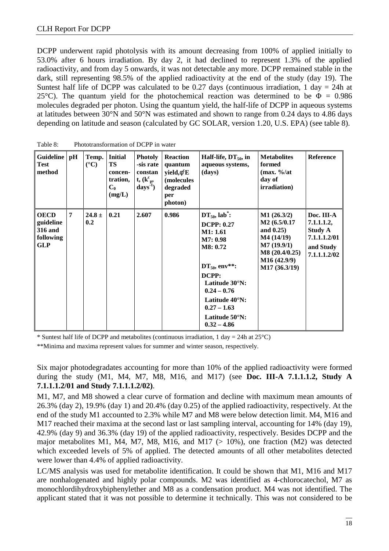DCPP underwent rapid photolysis with its amount decreasing from 100% of applied initially to 53.0% after 6 hours irradiation. By day 2, it had declined to represent 1.3% of the applied radioactivity, and from day 5 onwards, it was not detectable any more. DCPP remained stable in the dark, still representing 98.5% of the applied radioactivity at the end of the study (day 19). The Suntest half life of DCPP was calculated to be 0.27 days (continuous irradiation, 1 day  $= 24h$  at 25<sup>°</sup>C). The quantum yield for the photochemical reaction was determined to be  $\Phi = 0.986$ molecules degraded per photon. Using the quantum yield, the half-life of DCPP in aqueous systems at latitudes between 30°N and 50°N was estimated and shown to range from 0.24 days to 4.86 days depending on latitude and season (calculated by GC SOLAR, version 1.20, U.S. EPA) (see table 8).

| Guideline pH<br><b>Test</b><br>method                                 |                | Temp.<br>$({}^{\circ}C)$ | <b>Initial</b><br><b>TS</b><br>concen-<br>tration,<br>$C_0$<br>(mg/L) | <b>Photoly</b><br>-sis rate<br>constan<br>$t, (k_{p}^{c},$<br>$\text{days}^1$ ) | <b>Reaction</b><br>quantum<br>$yield, f^cE$<br>(molecules<br>degraded<br>per<br>photon) | Half-life, $DT_{50}$ , in<br>aqueous systems,<br>(days)                                                                                                                                                            | <b>Metabolites</b><br>formed<br>$(max. \% /at)$<br>day of<br>irradiation)                                              | <b>Reference</b>                                                                        |
|-----------------------------------------------------------------------|----------------|--------------------------|-----------------------------------------------------------------------|---------------------------------------------------------------------------------|-----------------------------------------------------------------------------------------|--------------------------------------------------------------------------------------------------------------------------------------------------------------------------------------------------------------------|------------------------------------------------------------------------------------------------------------------------|-----------------------------------------------------------------------------------------|
| <b>OECD</b><br>guideline<br><b>316 and</b><br>following<br><b>GLP</b> | $\overline{7}$ | $24.8 \pm$<br>0.2        | 0.21                                                                  | 2.607                                                                           | 0.986                                                                                   | $DT_{50}$ , lab :<br><b>DCPP: 0.27</b><br>M1: 1.61<br>M7: 0.98<br>M8: 0.72<br>$DT_{50}$ , env**:<br>DCPP:<br>Latitude 30°N:<br>$0.24 - 0.76$<br>Latitude 40°N:<br>$0.27 - 1.63$<br>Latitude 50°N:<br>$0.32 - 4.86$ | M1(26.3/2)<br>M2 (6.5/0.17<br>and $0.25$ )<br>M4(14/19)<br>M7(19.9/1)<br>M8(20.4/0.25)<br>M16(42.9/9)<br>M17 (36.3/19) | Doc. III-A<br>7.1.1.1.2,<br><b>Study A</b><br>7.1.1.1.2/01<br>and Study<br>7.1.1.1.2/02 |

Table 8: Phototransformation of DCPP in water

\* Suntest half life of DCPP and metabolites (continuous irradiation, 1 day = 24h at  $25^{\circ}$ C)

\*\*Minima and maxima represent values for summer and winter season, respectively.

Six major photodegradates accounting for more than 10% of the applied radioactivity were formed during the study (M1, M4, M7, M8, M16, and M17) (see **Doc. III-A 7.1.1.1.2, Study A 7.1.1.1.2/01 and Study 7.1.1.1.2/02)**.

M1, M7, and M8 showed a clear curve of formation and decline with maximum mean amounts of 26.3% (day 2), 19.9% (day 1) and 20.4% (day 0.25) of the applied radioactivity, respectively. At the end of the study M1 accounted to 2.3% while M7 and M8 were below detection limit. M4, M16 and M17 reached their maxima at the second last or last sampling interval, accounting for 14% (day 19), 42.9% (day 9) and 36.3% (day 19) of the applied radioactivity, respectively. Besides DCPP and the major metabolites M1, M4, M7, M8, M16, and M17  $(> 10\%)$ , one fraction (M2) was detected which exceeded levels of 5% of applied. The detected amounts of all other metabolites detected were lower than 4.4% of applied radioactivity.

LC/MS analysis was used for metabolite identification. It could be shown that M1, M16 and M17 are nonhalogenated and highly polar compounds. M2 was identified as 4-chlorocatechol, M7 as monochlordihydroxybiphenylether and M8 as a condensation product. M4 was not identified. The applicant stated that it was not possible to determine it technically. This was not considered to be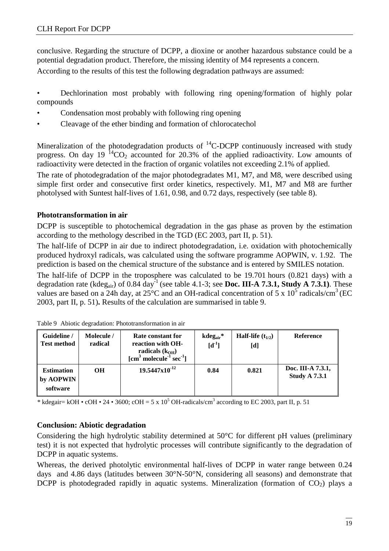conclusive. Regarding the structure of DCPP, a dioxine or another hazardous substance could be a potential degradation product. Therefore, the missing identity of M4 represents a concern. According to the results of this test the following degradation pathways are assumed:

- Dechlorination most probably with following ring opening/formation of highly polar compounds
- Condensation most probably with following ring opening
- Cleavage of the ether binding and formation of chlorocatechol

Mineralization of the photodegradation products of  ${}^{14}$ C-DCPP continuously increased with study progress. On day 19  ${}^{14}CO_2$  accounted for 20.3% of the applied radioactivity. Low amounts of radioactivity were detected in the fraction of organic volatiles not exceeding 2.1% of applied.

The rate of photodegradation of the major photodegradates M1, M7, and M8, were described using simple first order and consecutive first order kinetics, respectively. M1, M7 and M8 are further photolysed with Suntest half-lives of 1.61, 0.98, and 0.72 days, respectively (see table 8).

#### **Phototransformation in air**

DCPP is susceptible to photochemical degradation in the gas phase as proven by the estimation according to the methology described in the TGD (EC 2003, part II, p. 51).

The half-life of DCPP in air due to indirect photodegradation, i.e. oxidation with photochemically produced hydroxyl radicals, was calculated using the software programme AOPWIN, v. 1.92. The prediction is based on the chemical structure of the substance and is entered by SMILES notation.

The half-life of DCPP in the troposphere was calculated to be 19.701 hours (0.821 days) with a degradation rate (kdeg<sub>air</sub>) of 0.84 day<sup>-1</sup> (see table 4.1-3; see **Doc. III-A 7.3.1, Study A 7.3.1**). These values are based on a 24h day, at  $25^{\circ}$ C and an OH-radical concentration of 5 x 10<sup>5</sup> radicals/cm<sup>3</sup> (EC 2003, part II, p. 51)**.** Results of the calculation are summarised in table 9.

| Guideline /<br><b>Test method</b>          | Molecule /<br>radical | Rate constant for<br>reaction with OH-<br>radicals $(k_{OH})$<br>$[\text{cm}^3 \text{ molecule}^{-1} \text{ sec}^{-1}]$ | $kdeg_{air}$ *<br>$[d^{-1}]$ | <b>Half-life</b> $(t_{1/2})$<br>[d] | <b>Reference</b>                          |
|--------------------------------------------|-----------------------|-------------------------------------------------------------------------------------------------------------------------|------------------------------|-------------------------------------|-------------------------------------------|
| <b>Estimation</b><br>by AOPWIN<br>software | <b>OH</b>             | $19.5447 \times 10^{-12}$                                                                                               | 0.84                         | 0.821                               | Doc. III-A 7.3.1,<br><b>Study A 7.3.1</b> |

\* kdegair= kOH • cOH • 24 • 3600; cOH = 5 x 10<sup>5</sup> OH-radicals/cm<sup>3</sup> according to EC 2003, part II, p. 51

#### **Conclusion: Abiotic degradation**

Considering the high hydrolytic stability determined at 50°C for different pH values (preliminary test) it is not expected that hydrolytic processes will contribute significantly to the degradation of DCPP in aquatic systems.

Whereas, the derived photolytic environmental half-lives of DCPP in water range between 0.24 days and 4.86 days (latitudes between 30°N-50°N, considering all seasons) and demonstrate that DCPP is photodegraded rapidly in aquatic systems. Mineralization (formation of  $CO<sub>2</sub>$ ) plays a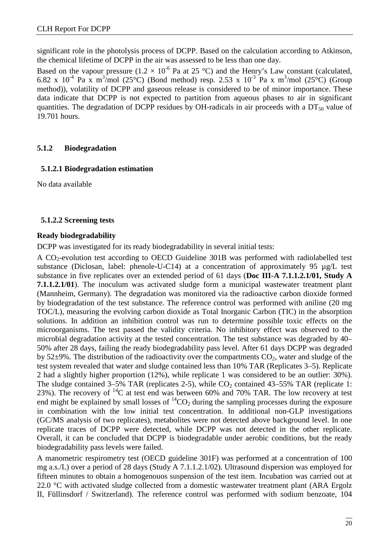significant role in the photolysis process of DCPP. Based on the calculation according to Atkinson, the chemical lifetime of DCPP in the air was assessed to be less than one day.

Based on the vapour pressure (1.2  $\times$  10<sup>-6</sup> Pa at 25 °C) and the Henry's Law constant (calculated, 6.82 x 10<sup>-4</sup> Pa x m<sup>3</sup>/mol (25°C) (Bond method) resp. 2.53 x 10<sup>-3</sup> Pa x m<sup>3</sup>/mol (25°C) (Group method)), volatility of DCPP and gaseous release is considered to be of minor importance. These data indicate that DCPP is not expected to partition from aqueous phases to air in significant quantities. The degradation of DCPP residues by OH-radicals in air proceeds with a  $DT<sub>50</sub>$  value of 19.701 hours.

#### **5.1.2 Biodegradation**

#### **5.1.2.1 Biodegradation estimation**

No data available

#### **5.1.2.2 Screening tests**

#### **Ready biodegradability**

DCPP was investigated for its ready biodegradability in several initial tests:

A CO2-evolution test according to OECD Guideline 301B was performed with radiolabelled test substance (Diclosan, label: phenole-U-C14) at a concentration of approximately 95  $\mu$ g/L test substance in five replicates over an extended period of 61 days (**Doc III-A 7.1.1.2.1/01, Study A 7.1.1.2.1/01**). The inoculum was activated sludge form a municipal wastewater treatment plant (Mannheim, Germany). The degradation was monitored via the radioactive carbon dioxide formed by biodegradation of the test substance. The reference control was performed with aniline (20 mg TOC/L), measuring the evolving carbon dioxide as Total Inorganic Carbon (TIC) in the absorption solutions. In addition an inhibition control was run to determine possible toxic effects on the microorganisms. The test passed the validity criteria. No inhibitory effect was observed to the microbial degradation activity at the tested concentration. The test substance was degraded by 40– 50% after 28 days, failing the ready biodegradability pass level. After 61 days DCPP was degraded by 52 $\pm$ 9%. The distribution of the radioactivity over the compartments  $CO_2$ , water and sludge of the test system revealed that water and sludge contained less than 10% TAR (Replicates 3–5). Replicate 2 had a slightly higher proportion (12%), while replicate 1 was considered to be an outlier: 30%). The sludge contained  $3-5\%$  TAR (replicates 2-5), while  $CO<sub>2</sub>$  contained  $43-55\%$  TAR (replicate 1: 23%). The recovery of  ${}^{14}C$  at test end was between 60% and 70% TAR. The low recovery at test end might be explained by small losses of  ${}^{14}CO_2$  during the sampling processes during the exposure in combination with the low initial test concentration. In additional non-GLP investigations (GC/MS analysis of two replicates), metabolites were not detected above background level. In one replicate traces of DCPP were detected, while DCPP was not detected in the other replicate. Overall, it can be concluded that DCPP is biodegradable under aerobic conditions, but the ready biodegradability pass levels were failed.

A manometric respirometry test (OECD guideline 301F) was performed at a concentration of 100 mg a.s./L) over a period of 28 days (Study A 7.1.1.2.1/02). Ultrasound dispersion was employed for fifteen minutes to obtain a homogenouos suspension of the test item. Incubation was carried out at 22.0 °C with activated sludge collected from a domestic wastewater treatment plant (ARA Ergolz II, Füllinsdorf / Switzerland). The reference control was performed with sodium benzoate, 104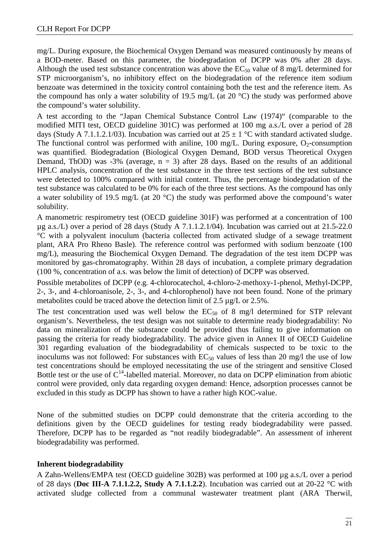mg/L. During exposure, the Biochemical Oxygen Demand was measured continuously by means of a BOD-meter. Based on this parameter, the biodegradation of DCPP was 0% after 28 days. Although the used test substance concentration was above the  $EC_{50}$  value of 8 mg/L determined for STP microorganism's, no inhibitory effect on the biodegradation of the reference item sodium benzoate was determined in the toxicity control containing both the test and the reference item. As the compound has only a water solubility of 19.5 mg/L (at 20 °C) the study was performed above the compound's water solubility.

A test according to the "Japan Chemical Substance Control Law (1974)" (comparable to the modified MITI test, OECD guideline 301C) was performed at 100 mg a.s./L over a period of 28 days (Study A 7.1.1.2.1/03). Incubation was carried out at  $25 \pm 1$  °C with standard activated sludge. The functional control was performed with aniline, 100 mg/L. During exposure,  $O_2$ -consumption was quantified. Biodegradation (Biological Oxygen Demand, BOD versus Theoretical Oxygen Demand, ThOD) was -3% (average,  $n = 3$ ) after 28 days. Based on the results of an additional HPLC analysis, concentration of the test substance in the three test sections of the test substance were detected to 100% compared with initial content. Thus, the percentage biodegradation of the test substance was calculated to be 0% for each of the three test sections. As the compound has only a water solubility of 19.5 mg/L (at 20 °C) the study was performed above the compound's water solubility.

A manometric respirometry test (OECD guideline 301F) was performed at a concentration of 100 µg a.s./L) over a period of 28 days (Study A 7.1.1.2.1/04). Incubation was carried out at 21.5-22.0 °C with a polyvalent inoculum (bacteria collected from activated sludge of a sewage treatment plant, ARA Pro Rheno Basle). The reference control was performed with sodium benzoate (100 mg/L), measuring the Biochemical Oxygen Demand. The degradation of the test item DCPP was monitored by gas-chromatography. Within 28 days of incubation, a complete primary degradation (100 %, concentration of a.s. was below the limit of detection) of DCPP was observed.

Possible metabolites of DCPP (e.g. 4-chlorocatechol, 4-chloro-2-methoxy-1-phenol, Methyl-DCPP, 2-, 3-, and 4-chloroanisole, 2-, 3-, and 4-chlorophenol) have not been found. None of the primary metabolites could be traced above the detection limit of 2.5 µg/L or 2.5%.

The test concentration used was well below the  $EC_{50}$  of 8 mg/l determined for STP relevant organism's. Nevertheless, the test design was not suitable to determine ready biodegradability: No data on mineralization of the substance could be provided thus failing to give information on passing the criteria for ready biodegradability. The advice given in Annex II of OECD Guideline 301 regarding evaluation of the biodegradability of chemicals suspected to be toxic to the inoculums was not followed: For substances with  $EC_{50}$  values of less than 20 mg/l the use of low test concentrations should be employed necessitating the use of the stringent and sensitive Closed Bottle test or the use of  $C^{14}$ -labelled material. Moreover, no data on DCPP elimination from abiotic control were provided, only data regarding oxygen demand: Hence, adsorption processes cannot be excluded in this study as DCPP has shown to have a rather high KOC-value.

None of the submitted studies on DCPP could demonstrate that the criteria according to the definitions given by the OECD guidelines for testing ready biodegradability were passed. Therefore, DCPP has to be regarded as "not readily biodegradable". An assessment of inherent biodegradability was performed.

#### **Inherent biodegradability**

A Zahn-Wellens/EMPA test (OECD guideline 302B) was performed at 100 µg a.s./L over a period of 28 days (**Doc III-A 7.1.1.2.2, Study A 7.1.1.2.2**). Incubation was carried out at 20-22 °C with activated sludge collected from a communal wastewater treatment plant (ARA Therwil,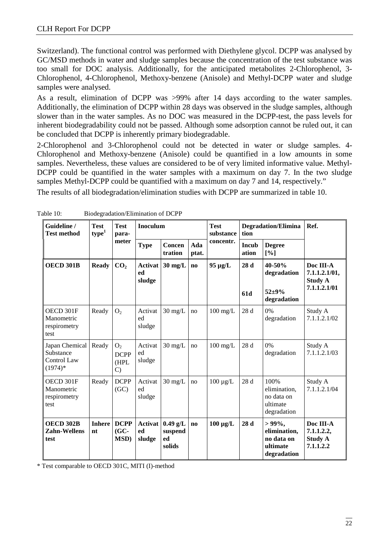Switzerland). The functional control was performed with Diethylene glycol. DCPP was analysed by GC/MSD methods in water and sludge samples because the concentration of the test substance was too small for DOC analysis. Additionally, for the anticipated metabolites 2-Chlorophenol, 3- Chlorophenol, 4-Chlorophenol, Methoxy-benzene (Anisole) and Methyl-DCPP water and sludge samples were analysed.

As a result, elimination of DCPP was >99% after 14 days according to the water samples. Additionally, the elimination of DCPP within 28 days was observed in the sludge samples, although slower than in the water samples. As no DOC was measured in the DCPP-test, the pass levels for inherent biodegradability could not be passed. Although some adsorption cannot be ruled out, it can be concluded that DCPP is inherently primary biodegradable.

2-Chlorophenol and 3-Chlorophenol could not be detected in water or sludge samples. 4- Chlorophenol and Methoxy-benzene (Anisole) could be quantified in a low amounts in some samples. Nevertheless, these values are considered to be of very limited informative value. Methyl-DCPP could be quantified in the water samples with a maximum on day 7. In the two sludge samples Methyl-DCPP could be quantified with a maximum on day 7 and 14, respectively."

The results of all biodegradation/elimination studies with DCPP are summarized in table 10.

| Guideline /<br><b>Test method</b>                       | <b>Test</b><br>type <sup>1</sup> | <b>Test</b><br>para-                                   | Inoculum                |                                       |                        | <b>Test</b><br>substance | tion                  | <b>Degradation/Elimina</b>                                         | Ref.                                                   |
|---------------------------------------------------------|----------------------------------|--------------------------------------------------------|-------------------------|---------------------------------------|------------------------|--------------------------|-----------------------|--------------------------------------------------------------------|--------------------------------------------------------|
|                                                         |                                  | meter                                                  | <b>Type</b>             | Concen<br>tration                     | Ada<br>ptat.           | concentr.                | <b>Incub</b><br>ation | <b>Degree</b><br>[%]                                               |                                                        |
| OECD 301B                                               | <b>Ready</b>                     | CO <sub>2</sub>                                        | Activat<br>ed<br>sludge | $30 \text{ mg/L}$                     | $\bf{no}$              | $95 \mu g/L$             | 28 d                  | 40-50%<br>degradation                                              | Doc III-A<br>7.1.1.2.1/01,<br><b>Study A</b>           |
|                                                         |                                  |                                                        |                         |                                       |                        |                          | 61d                   | $52 + 9%$<br>degradation                                           | 7.1.1.2.1/01                                           |
| OECD 301F<br>Manometric<br>respirometry<br>test         | Ready                            | O <sub>2</sub>                                         | Activat<br>ed<br>sludge | $30 \text{ mg/L}$                     | no                     | $100$ mg/L               | 28 d                  | 0%<br>degradation                                                  | Study A<br>7.1.1.2.1/02                                |
| Japan Chemical<br>Substance<br>Control Law<br>$(1974)*$ | Ready                            | O <sub>2</sub><br><b>DCPP</b><br>(HPL<br>$\mathcal{C}$ | Activat<br>ed<br>sludge | $30 \text{ mg/L}$                     | no                     | $100$ mg/L               | 28 d                  | 0%<br>degradation                                                  | Study A<br>7.1.1.2.1/03                                |
| OECD 301F<br>Manometric<br>respirometry<br>test         | Ready                            | <b>DCPP</b><br>(GC)                                    | Activat<br>ed<br>sludge | $30 \text{ mg/L}$                     | no                     | $100 \mu g/L$            | 28 d                  | 100%<br>elimination.<br>no data on<br>ultimate<br>degradation      | Study A<br>7.1.1.2.1/04                                |
| OECD 302B<br><b>Zahn-Wellens</b><br>test                | <b>Inhere</b><br>nt              | <b>DCPP</b><br>$(GC-$<br>MSD)                          | Activat<br>ed<br>sludge | $0.49$ g/L<br>suspend<br>ed<br>solids | $\mathbf{n}\mathbf{o}$ | $100 \mu g/L$            | 28 d                  | $>99\%$ ,<br>elimination,<br>no data on<br>ultimate<br>degradation | Doc III-A<br>7.1.1.2.2,<br><b>Study A</b><br>7.1.1.2.2 |

Table 10: Biodegradation/Elimination of DCPP

\* Test comparable to OECD 301C, MITI (I)-method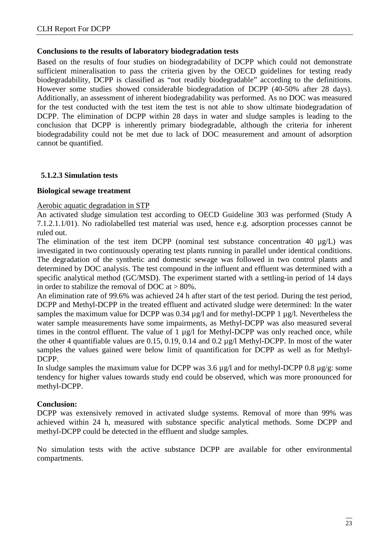#### **Conclusions to the results of laboratory biodegradation tests**

Based on the results of four studies on biodegradability of DCPP which could not demonstrate sufficient mineralisation to pass the criteria given by the OECD guidelines for testing ready biodegradability, DCPP is classified as "not readily biodegradable" according to the definitions. However some studies showed considerable biodegradation of DCPP (40-50% after 28 days). Additionally, an assessment of inherent biodegradability was performed. As no DOC was measured for the test conducted with the test item the test is not able to show ultimate biodegradation of DCPP. The elimination of DCPP within 28 days in water and sludge samples is leading to the conclusion that DCPP is inherently primary biodegradable, although the criteria for inherent biodegradability could not be met due to lack of DOC measurement and amount of adsorption cannot be quantified.

#### **5.1.2.3 Simulation tests**

#### **Biological sewage treatment**

#### Aerobic aquatic degradation in STP

An activated sludge simulation test according to OECD Guideline 303 was performed (Study A 7.1.2.1.1/01). No radiolabelled test material was used, hence e.g. adsorption processes cannot be ruled out.

The elimination of the test item DCPP (nominal test substance concentration 40  $\mu$ g/L) was investigated in two continuously operating test plants running in parallel under identical conditions. The degradation of the synthetic and domestic sewage was followed in two control plants and determined by DOC analysis. The test compound in the influent and effluent was determined with a specific analytical method (GC/MSD). The experiment started with a settling-in period of 14 days in order to stabilize the removal of DOC at  $> 80\%$ .

An elimination rate of 99.6% was achieved 24 h after start of the test period. During the test period, DCPP and Methyl-DCPP in the treated effluent and activated sludge were determined: In the water samples the maximum value for DCPP was 0.34  $\mu$ g/l and for methyl-DCPP 1  $\mu$ g/l. Nevertheless the water sample measurements have some impairments, as Methyl-DCPP was also measured several times in the control effluent. The value of 1 µg/l for Methyl-DCPP was only reached once, while the other 4 quantifiable values are 0.15, 0.19, 0.14 and 0.2 µg/l Methyl-DCPP. In most of the water samples the values gained were below limit of quantification for DCPP as well as for Methyl-DCPP.

In sludge samples the maximum value for DCPP was 3.6  $\mu$ g/l and for methyl-DCPP 0.8  $\mu$ g/g: some tendency for higher values towards study end could be observed, which was more pronounced for methyl-DCPP.

#### **Conclusion:**

DCPP was extensively removed in activated sludge systems. Removal of more than 99% was achieved within 24 h, measured with substance specific analytical methods. Some DCPP and methyl-DCPP could be detected in the effluent and sludge samples.

No simulation tests with the active substance DCPP are available for other environmental compartments.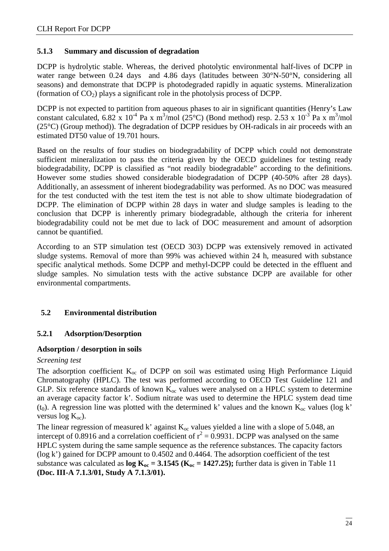#### **5.1.3 Summary and discussion of degradation**

DCPP is hydrolytic stable. Whereas, the derived photolytic environmental half-lives of DCPP in water range between 0.24 days and 4.86 days (latitudes between  $30^{\circ}$ N-50°N, considering all seasons) and demonstrate that DCPP is photodegraded rapidly in aquatic systems. Mineralization (formation of  $CO<sub>2</sub>$ ) plays a significant role in the photolysis process of DCPP.

DCPP is not expected to partition from aqueous phases to air in significant quantities (Henry's Law constant calculated,  $6.82 \times 10^{-4}$  Pa x m<sup>3</sup>/mol ( $25^{\circ}$ C) (Bond method) resp.  $2.53 \times 10^{-3}$  Pa x m<sup>3</sup>/mol  $(25^{\circ}C)$  (Group method)). The degradation of DCPP residues by OH-radicals in air proceeds with an estimated DT50 value of 19.701 hours.

Based on the results of four studies on biodegradability of DCPP which could not demonstrate sufficient mineralization to pass the criteria given by the OECD guidelines for testing ready biodegradability, DCPP is classified as "not readily biodegradable" according to the definitions. However some studies showed considerable biodegradation of DCPP (40-50% after 28 days). Additionally, an assessment of inherent biodegradability was performed. As no DOC was measured for the test conducted with the test item the test is not able to show ultimate biodegradation of DCPP. The elimination of DCPP within 28 days in water and sludge samples is leading to the conclusion that DCPP is inherently primary biodegradable, although the criteria for inherent biodegradability could not be met due to lack of DOC measurement and amount of adsorption cannot be quantified.

According to an STP simulation test (OECD 303) DCPP was extensively removed in activated sludge systems. Removal of more than 99% was achieved within 24 h, measured with substance specific analytical methods. Some DCPP and methyl-DCPP could be detected in the effluent and sludge samples. No simulation tests with the active substance DCPP are available for other environmental compartments.

#### **5.2 Environmental distribution**

#### **5.2.1 Adsorption/Desorption**

#### **Adsorption / desorption in soils**

#### *Screening test*

The adsorption coefficient  $K_{\infty}$  of DCPP on soil was estimated using High Performance Liquid Chromatography (HPLC). The test was performed according to OECD Test Guideline 121 and GLP. Six reference standards of known  $K_{oc}$  values were analysed on a HPLC system to determine an average capacity factor k'. Sodium nitrate was used to determine the HPLC system dead time (t<sub>0</sub>). A regression line was plotted with the determined k' values and the known  $K_{oc}$  values (log k' versus  $log K_{oc}$ ).

The linear regression of measured k' against  $K_{oc}$  values yielded a line with a slope of 5.048, an intercept of 0.8916 and a correlation coefficient of  $r^2 = 0.9931$ . DCPP was analysed on the same HPLC system during the same sample sequence as the reference substances. The capacity factors (log k') gained for DCPP amount to 0.4502 and 0.4464. The adsorption coefficient of the test substance was calculated as  $\log K_{oc} = 3.1545$  ( $K_{oc} = 1427.25$ ); further data is given in Table 11 **(Doc. III-A 7.1.3/01, Study A 7.1.3/01).**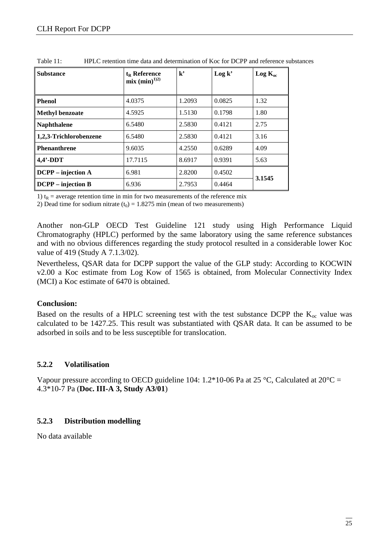| <b>Substance</b>       | $t_{R}$ Reference<br>$mix (min)^{1/2}$ | $\mathbf{k}^{\bullet}$ | Log k' | $Log K_{oc}$ |  |
|------------------------|----------------------------------------|------------------------|--------|--------------|--|
| <b>Phenol</b>          | 4.0375                                 | 1.2093                 | 0.0825 | 1.32         |  |
| <b>Methyl benzoate</b> | 4.5925                                 | 1.5130                 | 0.1798 | 1.80         |  |
| <b>Naphthalene</b>     | 6.5480                                 | 2.5830                 | 0.4121 | 2.75         |  |
| 1,2,3-Trichlorobenzene | 6.5480                                 | 2.5830                 | 0.4121 | 3.16         |  |
| <b>Phenanthrene</b>    | 9.6035                                 | 4.2550                 | 0.6289 | 4.09         |  |
| $4.4'$ -DDT            | 17.7115                                | 8.6917                 | 0.9391 | 5.63         |  |
| $DCPP - injection A$   | 6.981                                  | 2.8200                 | 0.4502 |              |  |
| $DCPP - injection B$   | 6.936                                  | 2.7953                 | 0.4464 | 3.1545       |  |

Table 11: HPLC retention time data and determination of Koc for DCPP and reference substances

1)  $t_R$  = average retention time in min for two measurements of the reference mix

2) Dead time for sodium nitrate  $(t_0) = 1.8275$  min (mean of two measurements)

Another non-GLP OECD Test Guideline 121 study using High Performance Liquid Chromatography (HPLC) performed by the same laboratory using the same reference substances and with no obvious differences regarding the study protocol resulted in a considerable lower Koc value of 419 (Study A 7.1.3/02).

Nevertheless, QSAR data for DCPP support the value of the GLP study: According to KOCWIN v2.00 a Koc estimate from Log Kow of 1565 is obtained, from Molecular Connectivity Index (MCI) a Koc estimate of 6470 is obtained.

#### **Conclusion:**

Based on the results of a HPLC screening test with the test substance DCPP the  $K_{\text{oc}}$  value was calculated to be 1427.25. This result was substantiated with QSAR data. It can be assumed to be adsorbed in soils and to be less susceptible for translocation.

#### **5.2.2 Volatilisation**

Vapour pressure according to OECD guideline 104: 1.2\*10-06 Pa at 25 °C, Calculated at 20°C = 4.3\*10-7 Pa (**Doc. III-A 3, Study A3/01**)

#### **5.2.3 Distribution modelling**

No data available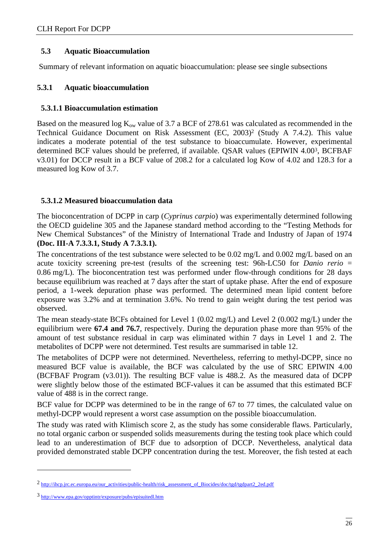#### **5.3 Aquatic Bioaccumulation**

Summary of relevant information on aquatic bioaccumulation: please see single subsections

#### **5.3.1 Aquatic bioaccumulation**

#### **5.3.1.1 Bioaccumulation estimation**

Based on the measured log  $K_{ow}$  value of 3.7 a BCF of 278.61 was calculated as recommended in the Technical Guidance Document on Risk Assessment (EC, 2003)<sup>2</sup> (Study A 7.4.2). This value indicates a moderate potential of the test substance to bioaccumulate. However, experimental determined BCF values should be preferred, if available. QSAR values (EPIWIN 4.003, BCFBAF v3.01) for DCCP result in a BCF value of 208.2 for a calculated log Kow of 4.02 and 128.3 for a measured log Kow of 3.7.

#### **5.3.1.2 Measured bioaccumulation data**

The bioconcentration of DCPP in carp (*Cyprinus carpio*) was experimentally determined following the OECD guideline 305 and the Japanese standard method according to the "Testing Methods for New Chemical Substances" of the Ministry of International Trade and Industry of Japan of 1974 **(Doc. III-A 7.3.3.1, Study A 7.3.3.1).**

The concentrations of the test substance were selected to be 0.02 mg/L and 0.002 mg/L based on an acute toxicity screening pre-test (results of the screening test: 96h-LC50 for *Danio rerio* = 0.86 mg/L). The bioconcentration test was performed under flow-through conditions for 28 days because equilibrium was reached at 7 days after the start of uptake phase. After the end of exposure period, a 1-week depuration phase was performed. The determined mean lipid content before exposure was 3.2% and at termination 3.6%. No trend to gain weight during the test period was observed.

The mean steady-state BCFs obtained for Level 1 (0.02 mg/L) and Level 2 (0.002 mg/L) under the equilibrium were **67.4 and 76.7**, respectively. During the depuration phase more than 95% of the amount of test substance residual in carp was eliminated within 7 days in Level 1 and 2. The metabolites of DCPP were not determined. Test results are summarised in table 12.

The metabolites of DCPP were not determined. Nevertheless, referring to methyl-DCPP, since no measured BCF value is available, the BCF was calculated by the use of SRC EPIWIN 4.00 (BCFBAF Program (v3.01)). The resulting BCF value is 488.2. As the measured data of DCPP were slightly below those of the estimated BCF-values it can be assumed that this estimated BCF value of 488 is in the correct range.

BCF value for DCPP was determined to be in the range of 67 to 77 times, the calculated value on methyl-DCPP would represent a worst case assumption on the possible bioaccumulation.

The study was rated with Klimisch score 2, as the study has some considerable flaws. Particularly, no total organic carbon or suspended solids measurements during the testing took place which could lead to an underestimation of BCF due to adsorption of DCCP. Nevertheless, analytical data provided demonstrated stable DCPP concentration during the test. Moreover, the fish tested at each

 $\overline{a}$ 

<sup>2</sup> [http://ihcp.jrc.ec.europa.eu/our\\_activities/public-health/risk\\_assessment\\_of\\_Biocides/doc/tgd/tgdpart2\\_2ed.pdf](http://ihcp.jrc.ec.europa.eu/our_activities/public-health/risk_assessment_of_Biocides/doc/tgd/tgdpart2_2ed.pdf) 

<sup>3</sup> <http://www.epa.gov/opptintr/exposure/pubs/episuitedl.htm>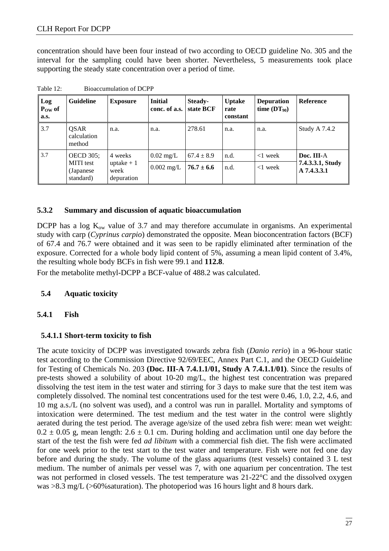concentration should have been four instead of two according to OECD guideline No. 305 and the interval for the sampling could have been shorter. Nevertheless, 5 measurements took place supporting the steady state concentration over a period of time.

| Log<br>$P_{OW}$ of<br>a.s. | <b>Guideline</b>                            | <b>Exposure</b>                   | <b>Initial</b><br>conc. of a.s. | Steady-<br>state BCF | <b>Uptake</b><br>rate<br>constant | <b>Depuration</b><br>time $(DT_{90})$ | <b>Reference</b>                |  |
|----------------------------|---------------------------------------------|-----------------------------------|---------------------------------|----------------------|-----------------------------------|---------------------------------------|---------------------------------|--|
| 3.7                        | <b>OSAR</b><br>calculation<br>method        | n.a.                              | n.a.                            | 278.61               | n.a.                              | n.a.                                  | <b>Study A 7.4.2</b>            |  |
| 3.7                        | <b>OECD 305;</b>                            | 4 weeks                           | $0.02 \text{ mg/L}$             | $67.4 \pm 8.9$       | n.d.                              | $<$ 1 week                            | Doc. III-A                      |  |
|                            | <b>MITI</b> test<br>(Japanese)<br>standard) | uptake $+1$<br>week<br>depuration | $0.002$ mg/L                    | $76.7 \pm 6.6$       | n.d.                              | $<$ 1 week                            | 7.4.3.3.1, Study<br>A 7.4.3.3.1 |  |

Table 12: Bioaccumulation of DCPP

#### **5.3.2 Summary and discussion of aquatic bioaccumulation**

DCPP has a log  $K_{ow}$  value of 3.7 and may therefore accumulate in organisms. An experimental study with carp (*Cyprinus carpio*) demonstrated the opposite. Mean bioconcentration factors (BCF) of 67.4 and 76.7 were obtained and it was seen to be rapidly eliminated after termination of the exposure. Corrected for a whole body lipid content of 5%, assuming a mean lipid content of 3.4%, the resulting whole body BCFs in fish were 99.1 and **112.8**.

For the metabolite methyl-DCPP a BCF-value of 488.2 was calculated.

#### **5.4 Aquatic toxicity**

#### **5.4.1 Fish**

#### **5.4.1.1 Short-term toxicity to fish**

The acute toxicity of DCPP was investigated towards zebra fish (*Danio rerio*) in a 96-hour static test according to the Commission Directive 92/69/EEC, Annex Part C.1, and the OECD Guideline for Testing of Chemicals No. 203 **(Doc. III-A 7.4.1.1/01, Study A 7.4.1.1/01)**. Since the results of pre-tests showed a solubility of about 10-20 mg/L, the highest test concentration was prepared dissolving the test item in the test water and stirring for 3 days to make sure that the test item was completely dissolved. The nominal test concentrations used for the test were 0.46, 1.0, 2.2, 4.6, and 10 mg a.s./L (no solvent was used), and a control was run in parallel. Mortality and symptoms of intoxication were determined. The test medium and the test water in the control were slightly aerated during the test period. The average age/size of the used zebra fish were: mean wet weight:  $0.2 \pm 0.05$  g, mean length:  $2.6 \pm 0.1$  cm. During holding and acclimation until one day before the start of the test the fish were fed *ad libitum* with a commercial fish diet. The fish were acclimated for one week prior to the test start to the test water and temperature. Fish were not fed one day before and during the study. The volume of the glass aquariums (test vessels) contained 3 L test medium. The number of animals per vessel was 7, with one aquarium per concentration. The test was not performed in closed vessels. The test temperature was 21-22°C and the dissolved oxygen was >8.3 mg/L (>60%saturation). The photoperiod was 16 hours light and 8 hours dark.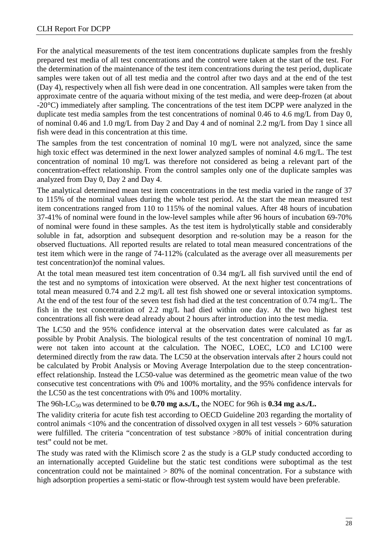For the analytical measurements of the test item concentrations duplicate samples from the freshly prepared test media of all test concentrations and the control were taken at the start of the test. For the determination of the maintenance of the test item concentrations during the test period, duplicate samples were taken out of all test media and the control after two days and at the end of the test (Day 4), respectively when all fish were dead in one concentration. All samples were taken from the approximate centre of the aquaria without mixing of the test media, and were deep-frozen (at about -20°C) immediately after sampling. The concentrations of the test item DCPP were analyzed in the duplicate test media samples from the test concentrations of nominal 0.46 to 4.6 mg/L from Day 0, of nominal 0.46 and 1.0 mg/L from Day 2 and Day 4 and of nominal 2.2 mg/L from Day 1 since all fish were dead in this concentration at this time.

The samples from the test concentration of nominal 10 mg/L were not analyzed, since the same high toxic effect was determined in the next lower analyzed samples of nominal 4.6 mg/L. The test concentration of nominal 10 mg/L was therefore not considered as being a relevant part of the concentration-effect relationship. From the control samples only one of the duplicate samples was analyzed from Day 0, Day 2 and Day 4.

The analytical determined mean test item concentrations in the test media varied in the range of 37 to 115% of the nominal values during the whole test period. At the start the mean measured test item concentrations ranged from 110 to 115% of the nominal values. After 48 hours of incubation 37-41% of nominal were found in the low-level samples while after 96 hours of incubation 69-70% of nominal were found in these samples. As the test item is hydrolytically stable and considerably soluble in fat, adsorption and subsequent desorption and re-solution may be a reason for the observed fluctuations. All reported results are related to total mean measured concentrations of the test item which were in the range of 74-112% (calculated as the average over all measurements per test concentration)of the nominal values.

At the total mean measured test item concentration of 0.34 mg/L all fish survived until the end of the test and no symptoms of intoxication were observed. At the next higher test concentrations of total mean measured 0.74 and 2.2 mg/L all test fish showed one or several intoxication symptoms. At the end of the test four of the seven test fish had died at the test concentration of 0.74 mg/L. The fish in the test concentration of 2.2 mg/L had died within one day. At the two highest test concentrations all fish were dead already about 2 hours after introduction into the test media.

The LC50 and the 95% confidence interval at the observation dates were calculated as far as possible by Probit Analysis. The biological results of the test concentration of nominal 10 mg/L were not taken into account at the calculation. The NOEC, LOEC, LC0 and LC100 were determined directly from the raw data. The LC50 at the observation intervals after 2 hours could not be calculated by Probit Analysis or Moving Average Interpolation due to the steep concentrationeffect relationship. Instead the LC50-value was determined as the geometric mean value of the two consecutive test concentrations with 0% and 100% mortality, and the 95% confidence intervals for the LC50 as the test concentrations with 0% and 100% mortality.

The 96h-LC<sub>50</sub> was determined to be **0.70 mg a.s./L**, the NOEC for 96h is **0.34 mg a.s./L.** 

The validity criteria for acute fish test according to OECD Guideline 203 regarding the mortality of control animals <10% and the concentration of dissolved oxygen in all test vessels > 60% saturation were fulfilled. The criteria "concentration of test substance >80% of initial concentration during test" could not be met.

The study was rated with the Klimisch score 2 as the study is a GLP study conducted according to an internationally accepted Guideline but the static test conditions were suboptimal as the test concentration could not be maintained > 80% of the nominal concentration. For a substance with high adsorption properties a semi-static or flow-through test system would have been preferable.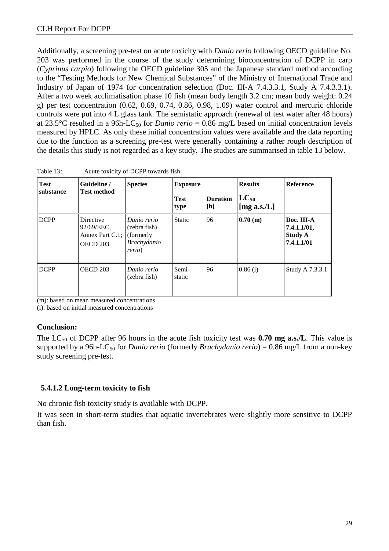Additionally, a screening pre-test on acute toxicity with *Danio rerio* following OECD guideline No. 203 was performed in the course of the study determining bioconcentration of DCPP in carp (*Cyprinus carpio*) following the OECD guideline 305 and the Japanese standard method according to the "Testing Methods for New Chemical Substances" of the Ministry of International Trade and Industry of Japan of 1974 for concentration selection (Doc. III-A 7.4.3.3.1, Study A 7.4.3.3.1). After a two week acclimatisation phase 10 fish (mean body length 3.2 cm; mean body weight: 0.24 g) per test concentration (0.62, 0.69, 0.74, 0.86, 0.98, 1.09) water control and mercuric chloride controls were put into 4 L glass tank. The semistatic approach (renewal of test water after 48 hours) at 23.5°C resulted in a 96h-LC<sub>50</sub> for *Danio rerio* = 0.86 mg/L based on initial concentration levels measured by HPLC. As only these initial concentration values were available and the data reporting due to the function as a screening pre-test were generally containing a rather rough description of the details this study is not regarded as a key study. The studies are summarised in table 13 below.

| <b>Test</b><br>substance | Guideline /<br><b>Test method</b>                      | <b>Species</b>                                                                    | <b>Exposure</b>     |                        | <b>Results</b>               | <b>Reference</b>                                          |
|--------------------------|--------------------------------------------------------|-----------------------------------------------------------------------------------|---------------------|------------------------|------------------------------|-----------------------------------------------------------|
|                          |                                                        |                                                                                   | <b>Test</b><br>type | <b>Duration</b><br>[h] | $LC_{50}$<br>[mg a.s./ $L$ ] |                                                           |
| <b>DCPP</b>              | Directive<br>92/69/EEC,<br>Annex Part C.1;<br>OECD 203 | Danio rerio<br>(zebra fish)<br>(formerly)<br><b>Brachydanio</b><br><i>rerio</i> ) | <b>Static</b>       | 96                     | 0.70(m)                      | Doc. III-A<br>7.4.1.1/01,<br><b>Study A</b><br>7.4.1.1/01 |
| <b>DCPP</b>              | OECD 203                                               | Danio rerio<br>(zebra fish)                                                       | Semi-<br>static     | 96                     | 0.86(i)                      | Study A 7.3.3.1                                           |

Table 13: Acute toxicity of DCPP towards fish

(m): based on mean measured concentrations

(i): based on initial measured concentrations

#### **Conclusion:**

The LC<sub>50</sub> of DCPP after 96 hours in the acute fish toxicity test was **0.70 mg a.s./L**. This value is supported by a 96h-LC<sub>50</sub> for *Danio rerio* (formerly *Brachydanio rerio*) = 0.86 mg/L from a non-key study screening pre-test.

#### **5.4.1.2 Long-term toxicity to fish**

No chronic fish toxicity study is available with DCPP.

It was seen in short-term studies that aquatic invertebrates were slightly more sensitive to DCPP than fish.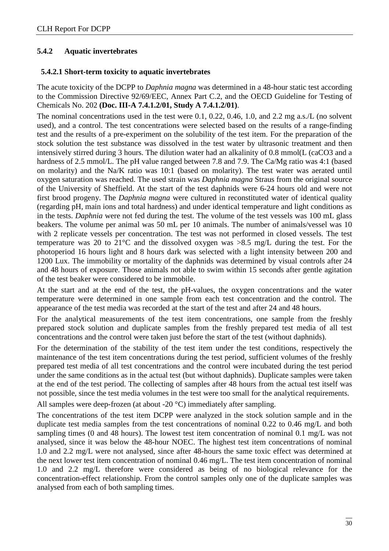#### **5.4.2 Aquatic invertebrates**

#### **5.4.2.1 Short-term toxicity to aquatic invertebrates**

The acute toxicity of the DCPP to *Daphnia magna* was determined in a 48-hour static test according to the Commission Directive 92/69/EEC, Annex Part C.2, and the OECD Guideline for Testing of Chemicals No. 202 **(Doc. III-A 7.4.1.2/01, Study A 7.4.1.2/01)**.

The nominal concentrations used in the test were 0.1, 0.22, 0.46, 1.0, and 2.2 mg a.s./L (no solvent used), and a control. The test concentrations were selected based on the results of a range-finding test and the results of a pre-experiment on the solubility of the test item. For the preparation of the stock solution the test substance was dissolved in the test water by ultrasonic treatment and then intensively stirred during 3 hours. The dilution water had an alkalinity of 0.8 mmol(L (caCO3 and a hardness of 2.5 mmol/L. The pH value ranged between 7.8 and 7.9. The Ca/Mg ratio was 4:1 (based on molarity) and the Na/K ratio was 10:1 (based on molarity). The test water was aerated until oxygen saturation was reached. The used strain was *Daphnia magna* Straus from the original source of the University of Sheffield. At the start of the test daphnids were 6-24 hours old and were not first brood progeny. The *Daphnia magna* were cultured in reconstituted water of identical quality (regarding pH, main ions and total hardness) and under identical temperature and light conditions as in the tests. *Daphnia* were not fed during the test. The volume of the test vessels was 100 mL glass beakers. The volume per animal was 50 mL per 10 animals. The number of animals/vessel was 10 with 2 replicate vessels per concentration. The test was not performed in closed vessels. The test temperature was 20 to 21°C and the dissolved oxygen was >8.5 mg/L during the test. For the photoperiod 16 hours light and 8 hours dark was selected with a light intensity between 200 and 1200 Lux. The immobility or mortality of the daphnids was determined by visual controls after 24 and 48 hours of exposure. Those animals not able to swim within 15 seconds after gentle agitation of the test beaker were considered to be immobile.

At the start and at the end of the test, the pH-values, the oxygen concentrations and the water temperature were determined in one sample from each test concentration and the control. The appearance of the test media was recorded at the start of the test and after 24 and 48 hours.

For the analytical measurements of the test item concentrations, one sample from the freshly prepared stock solution and duplicate samples from the freshly prepared test media of all test concentrations and the control were taken just before the start of the test (without daphnids).

For the determination of the stability of the test item under the test conditions, respectively the maintenance of the test item concentrations during the test period, sufficient volumes of the freshly prepared test media of all test concentrations and the control were incubated during the test period under the same conditions as in the actual test (but without daphnids). Duplicate samples were taken at the end of the test period. The collecting of samples after 48 hours from the actual test itself was not possible, since the test media volumes in the test were too small for the analytical requirements.

All samples were deep-frozen (at about -20 °C) immediately after sampling.

The concentrations of the test item DCPP were analyzed in the stock solution sample and in the duplicate test media samples from the test concentrations of nominal 0.22 to 0.46 mg/L and both sampling times (0 and 48 hours). The lowest test item concentration of nominal 0.1 mg/L was not analysed, since it was below the 48-hour NOEC. The highest test item concentrations of nominal 1.0 and 2.2 mg/L were not analysed, since after 48-hours the same toxic effect was determined at the next lower test item concentration of nominal 0.46 mg/L. The test item concentration of nominal 1.0 and 2.2 mg/L therefore were considered as being of no biological relevance for the concentration-effect relationship. From the control samples only one of the duplicate samples was analysed from each of both sampling times.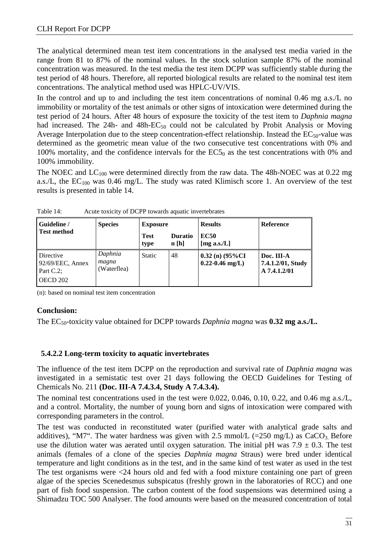The analytical determined mean test item concentrations in the analysed test media varied in the range from 81 to 87% of the nominal values. In the stock solution sample 87% of the nominal concentration was measured. In the test media the test item DCPP was sufficiently stable during the test period of 48 hours. Therefore, all reported biological results are related to the nominal test item concentrations. The analytical method used was HPLC-UV/VIS.

In the control and up to and including the test item concentrations of nominal 0.46 mg a.s./L no immobility or mortality of the test animals or other signs of intoxication were determined during the test period of 24 hours. After 48 hours of exposure the toxicity of the test item to *Daphnia magna* had increased. The 24h- and 48h- $EC_{50}$  could not be calculated by Probit Analysis or Moving Average Interpolation due to the steep concentration-effect relationship. Instead the  $EC_{50}$ -value was determined as the geometric mean value of the two consecutive test concentrations with 0% and 100% mortality, and the confidence intervals for the  $EC5<sub>0</sub>$  as the test concentrations with 0% and 100% immobility.

The NOEC and  $LC_{100}$  were determined directly from the raw data. The 48h-NOEC was at 0.22 mg a.s./L, the  $EC_{100}$  was 0.46 mg/L. The study was rated Klimisch score 1. An overview of the test results is presented in table 14.

| Guideline /                                                      | <b>Species</b>                  | <b>Exposure</b>     |                        | <b>Results</b>                              | Reference                                       |
|------------------------------------------------------------------|---------------------------------|---------------------|------------------------|---------------------------------------------|-------------------------------------------------|
| Test method                                                      |                                 | <b>Test</b><br>type | <b>Duratio</b><br>n[h] | <b>EC50</b><br>[mg a.s./ $L$ ]              |                                                 |
| Directive<br>$92/69/EEC$ , Annex<br>Part C.2;<br><b>OECD 202</b> | Daphnia<br>magna<br>(Waterflea) | <b>Static</b>       | 48                     | $0.32$ (n) $(95\%CI$<br>$0.22 - 0.46$ mg/L) | Doc. III-A<br>7.4.1.2/01, Study<br>A 7.4.1.2/01 |

Table 14: Acute toxicity of DCPP towards aquatic invertebrates

(n): based on nominal test item concentration

#### **Conclusion:**

The EC<sub>50</sub>-toxicity value obtained for DCPP towards *Daphnia magna* was **0.32 mg a.s./L.** 

#### **5.4.2.2 Long-term toxicity to aquatic invertebrates**

The influence of the test item DCPP on the reproduction and survival rate of *Daphnia magna* was investigated in a semistatic test over 21 days following the OECD Guidelines for Testing of Chemicals No. 211 **(Doc. III-A 7.4.3.4, Study A 7.4.3.4).**

The nominal test concentrations used in the test were 0.022, 0.046, 0.10, 0.22, and 0.46 mg a.s./L, and a control. Mortality, the number of young born and signs of intoxication were compared with corresponding parameters in the control.

The test was conducted in reconstituted water (purified water with analytical grade salts and additives), "M7". The water hardness was given with 2.5 mmol/L (=250 mg/L) as  $CaCO<sub>3</sub>$ . Before use the dilution water was aerated until oxygen saturation. The initial pH was  $7.9 \pm 0.3$ . The test animals (females of a clone of the species *Daphnia magna* Straus) were bred under identical temperature and light conditions as in the test, and in the same kind of test water as used in the test The test organisms were <24 hours old and fed with a food mixture containing one part of green algae of the species Scenedesmus subspicatus (freshly grown in the laboratories of RCC) and one part of fish food suspension. The carbon content of the food suspensions was determined using a Shimadzu TOC 500 Analyser. The food amounts were based on the measured concentration of total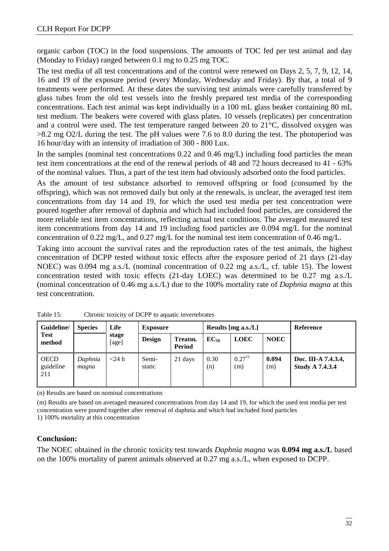organic carbon (TOC) in the food suspensions. The amounts of TOC fed per test animal and day (Monday to Friday) ranged between 0.1 mg to 0.25 mg TOC.

The test media of all test concentrations and of the control were renewed on Days 2, 5, 7, 9, 12, 14, 16 and 19 of the exposure period (every Monday, Wednesday and Friday). By that, a total of 9 treatments were performed. At these dates the surviving test animals were carefully transferred by glass tubes from the old test vessels into the freshly prepared test media of the corresponding concentrations. Each test animal was kept individually in a 100 mL glass beaker containing 80 mL test medium. The beakers were covered with glass plates. 10 vessels (replicates) per concentration and a control were used. The test temperature ranged between 20 to 21°C, dissolved oxygen was >8.2 mg O2/L during the test. The pH values were 7.6 to 8.0 during the test. The photoperiod was 16 hour/day with an intensity of irradiation of 300 - 800 Lux.

In the samples (nominal test concentrations 0.22 and 0.46 mg/L) including food particles the mean test item concentrations at the end of the renewal periods of 48 and 72 hours decreased to 41 - 63% of the nominal values. Thus, a part of the test item had obviously adsorbed onto the food particles.

As the amount of test substance adsorbed to removed offspring or food (consumed by the offspring), which was not removed daily but only at the renewals, is unclear, the averaged test item concentrations from day 14 and 19, for which the used test media per test concentration were poured together after removal of daphnia and which had included food particles, are considered the more reliable test item concentrations, reflecting actual test conditions. The averaged measured test item concentrations from day 14 and 19 including food particles are 0.094 mg/L for the nominal concentration of 0.22 mg/L, and 0.27 mg/L for the nominal test item concentration of 0.46 mg/L.

Taking into account the survival rates and the reproduction rates of the test animals, the highest concentration of DCPP tested without toxic effects after the exposure period of 21 days (21-day NOEC) was 0.094 mg a.s./L (nominal concentration of 0.22 mg a.s./L, cf. table 15). The lowest concentration tested with toxic effects (21-day LOEC) was determined to be 0.27 mg a.s./L (nominal concentration of 0.46 mg a.s./L) due to the 100% mortality rate of *Daphnia magna* at this test concentration.

| Guideline/                      | <b>Species</b>   | Life<br>stage<br>[age] | <b>Exposure</b> |                          | Results [mg a.s./L] |                   | Reference    |                                               |
|---------------------------------|------------------|------------------------|-----------------|--------------------------|---------------------|-------------------|--------------|-----------------------------------------------|
| <b>Test</b><br>method           |                  |                        | <b>Design</b>   | Treatm.<br><b>Period</b> | $EC_{50}$           | <b>LOEC</b>       | <b>NOEC</b>  |                                               |
| <b>OECD</b><br>guideline<br>211 | Daphnia<br>magna | $<$ 24 h               | Semi-<br>static | 21 days                  | 0.30<br>(n)         | $0.27^{1}$<br>(m) | 0.094<br>(m) | Doc. III-A 7.4.3.4,<br><b>Study A 7.4.3.4</b> |

Table 15: Chronic toxicity of DCPP to aquatic invertebrates

(n) Results are based on nominal concentrations

(m) Results are based on averaged measured concentrations from day 14 and 19, for which the used test media per test concentration were poured together after removal of daphnia and which had included food particles 1) 100% mortality at this concentration

#### **Conclusion:**

The NOEC obtained in the chronic toxicity test towards *Daphnia magna* was **0.094 mg a.s./L** based on the 100% mortality of parent animals observed at 0.27 mg a.s./L, when exposed to DCPP.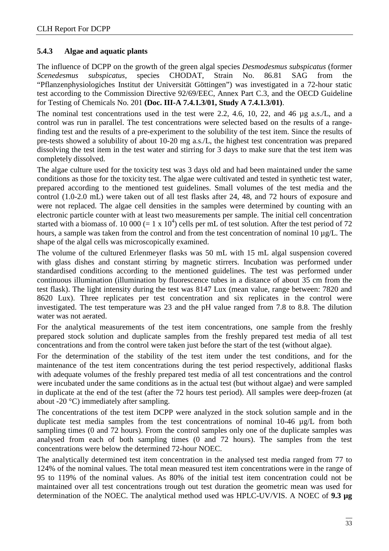#### **5.4.3 Algae and aquatic plants**

The influence of DCPP on the growth of the green algal species *Desmodesmus subspicatus* (former *Scenedesmus subspicatus*, species CHODAT, Strain No. 86.81 SAG from the "Pflanzenphysiologiches Institut der Universität Göttingen") was investigated in a 72-hour static test according to the Commission Directive 92/69/EEC, Annex Part C.3, and the OECD Guideline for Testing of Chemicals No. 201 **(Doc. III-A 7.4.1.3/01, Study A 7.4.1.3/01)**.

The nominal test concentrations used in the test were 2.2, 4.6, 10, 22, and 46 µg a.s./L, and a control was run in parallel. The test concentrations were selected based on the results of a rangefinding test and the results of a pre-experiment to the solubility of the test item. Since the results of pre-tests showed a solubility of about 10-20 mg a.s./L, the highest test concentration was prepared dissolving the test item in the test water and stirring for 3 days to make sure that the test item was completely dissolved.

The algae culture used for the toxicity test was 3 days old and had been maintained under the same conditions as those for the toxicity test. The algae were cultivated and tested in synthetic test water, prepared according to the mentioned test guidelines. Small volumes of the test media and the control (1.0-2.0 mL) were taken out of all test flasks after 24, 48, and 72 hours of exposure and were not replaced. The algae cell densities in the samples were determined by counting with an electronic particle counter with at least two measurements per sample. The initial cell concentration started with a biomass of. 10 000 (= 1 x 10<sup>4</sup>) cells per mL of test solution. After the test period of 72 hours, a sample was taken from the control and from the test concentration of nominal 10  $\mu$ g/L. The shape of the algal cells was microscopically examined.

The volume of the cultured Erlenmeyer flasks was 50 mL with 15 mL algal suspension covered with glass dishes and constant stirring by magnetic stirrers. Incubation was performed under standardised conditions according to the mentioned guidelines. The test was performed under continuous illumination (illumination by fluorescence tubes in a distance of about 35 cm from the test flask). The light intensity during the test was 8147 Lux (mean value, range between: 7820 and 8620 Lux). Three replicates per test concentration and six replicates in the control were investigated. The test temperature was 23 and the pH value ranged from 7.8 to 8.8. The dilution water was not aerated.

For the analytical measurements of the test item concentrations, one sample from the freshly prepared stock solution and duplicate samples from the freshly prepared test media of all test concentrations and from the control were taken just before the start of the test (without algae).

For the determination of the stability of the test item under the test conditions, and for the maintenance of the test item concentrations during the test period respectively, additional flasks with adequate volumes of the freshly prepared test media of all test concentrations and the control were incubated under the same conditions as in the actual test (but without algae) and were sampled in duplicate at the end of the test (after the 72 hours test period). All samples were deep-frozen (at about -20 °C) immediately after sampling.

The concentrations of the test item DCPP were analyzed in the stock solution sample and in the duplicate test media samples from the test concentrations of nominal 10-46 µg/L from both sampling times (0 and 72 hours). From the control samples only one of the duplicate samples was analysed from each of both sampling times (0 and 72 hours). The samples from the test concentrations were below the determined 72-hour NOEC.

The analytically determined test item concentration in the analysed test media ranged from 77 to 124% of the nominal values. The total mean measured test item concentrations were in the range of 95 to 119% of the nominal values. As 80% of the initial test item concentration could not be maintained over all test concentrations trough out test duration the geometric mean was used for determination of the NOEC. The analytical method used was HPLC-UV/VIS. A NOEC of **9.3 µg**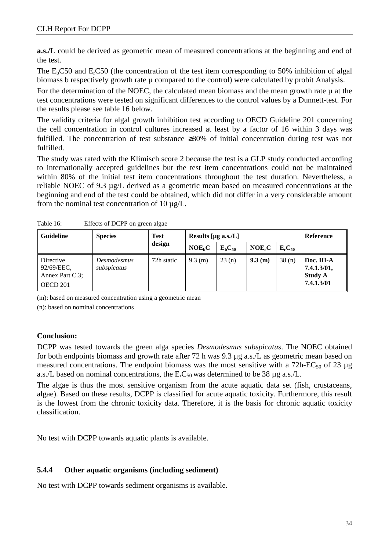**a.s./L** could be derived as geometric mean of measured concentrations at the beginning and end of the test.

The  $E<sub>b</sub>CS0$  and  $E<sub>r</sub>CS0$  (the concentration of the test item corresponding to 50% inhibition of algal biomass b respectively growth rate  $\mu$  compared to the control) were calculated by probit Analysis.

For the determination of the NOEC, the calculated mean biomass and the mean growth rate  $\mu$  at the test concentrations were tested on significant differences to the control values by a Dunnett-test. For the results please see table 16 below.

The validity criteria for algal growth inhibition test according to OECD Guideline 201 concerning the cell concentration in control cultures increased at least by a factor of 16 within 3 days was fulfilled. The concentration of test substance ≥80% of initial concentration during test was not fulfilled.

The study was rated with the Klimisch score 2 because the test is a GLP study conducted according to internationally accepted guidelines but the test item concentrations could not be maintained within 80% of the initial test item concentrations throughout the test duration. Nevertheless, a reliable NOEC of 9.3 µg/L derived as a geometric mean based on measured concentrations at the beginning and end of the test could be obtained, which did not differ in a very considerable amount from the nominal test concentration of 10  $\mu$ g/L.

| <b>Guideline</b>                                       | <b>Species</b>             | <b>Test</b> | Results [ $\mu$ g a.s./L] |             |                    |             | Reference                                                 |
|--------------------------------------------------------|----------------------------|-------------|---------------------------|-------------|--------------------|-------------|-----------------------------------------------------------|
|                                                        |                            | design      | NOE <sub>h</sub> C        | $E_bC_{50}$ | NOE <sub>r</sub> C | $E_rC_{50}$ |                                                           |
| Directive<br>92/69/EEC,<br>Annex Part C.3;<br>OECD 201 | Desmodesmus<br>subspicatus | 72h static  | $9.3$ (m)                 | 23(n)       | 9.3(m)             | 38(n)       | Doc. III-A<br>7.4.1.3/01,<br><b>Study A</b><br>7.4.1.3/01 |

Table 16: Effects of DCPP on green algae

(m): based on measured concentration using a geometric mean

(n): based on nominal concentrations

#### **Conclusion:**

DCPP was tested towards the green alga species *Desmodesmus subspicatus*. The NOEC obtained for both endpoints biomass and growth rate after 72 h was 9.3 µg a.s./L as geometric mean based on measured concentrations. The endpoint biomass was the most sensitive with a  $72h-EC_{50}$  of 23  $\mu$ g a.s./L based on nominal concentrations, the  $E<sub>r</sub>C<sub>50</sub>$  was determined to be 38 µg a.s./L.

The algae is thus the most sensitive organism from the acute aquatic data set (fish, crustaceans, algae). Based on these results, DCPP is classified for acute aquatic toxicity. Furthermore, this result is the lowest from the chronic toxicity data. Therefore, it is the basis for chronic aquatic toxicity classification.

No test with DCPP towards aquatic plants is available.

#### **5.4.4 Other aquatic organisms (including sediment)**

No test with DCPP towards sediment organisms is available.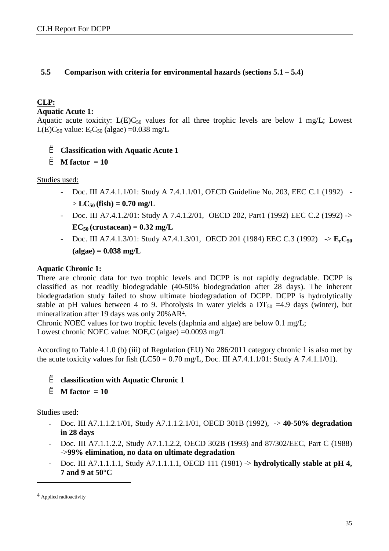#### **5.5 Comparison with criteria for environmental hazards (sections 5.1 – 5.4)**

#### **CLP:**

**Aquatic Acute 1:** 

Aquatic acute toxicity:  $L(E)C_{50}$  values for all three trophic levels are below 1 mg/L; Lowest L(E)C<sub>50</sub> value: E<sub>r</sub>C<sub>50</sub> (algae) =0.038 mg/L

#### è **Classification with Aquatic Acute 1**

è **M factor = 10** 

Studies used:

- Doc. III A7.4.1.1/01: Study A 7.4.1.1/01, OECD Guideline No. 203, EEC C.1 (1992)  $> LC_{50}$  (fish) = 0.70 mg/L
- Doc. III A7.4.1.2/01: Study A 7.4.1.2/01, OECD 202, Part1 (1992) EEC C.2 (1992) ->  $EC_{50}$  (crustacean) =  $0.32$  mg/L
- Doc. III A7.4.1.3/01: Study A7.4.1.3/01, OECD 201 (1984) EEC C.3 (1992) -> **ErC<sup>50</sup> (algae) = 0.038 mg/L**

#### **Aquatic Chronic 1:**

There are chronic data for two trophic levels and DCPP is not rapidly degradable. DCPP is classified as not readily biodegradable (40-50% biodegradation after 28 days). The inherent biodegradation study failed to show ultimate biodegradation of DCPP. DCPP is hydrolytically stable at pH values between 4 to 9. Photolysis in water yields a  $DT_{50} = 4.9$  days (winter), but mineralization after 19 days was only 20%AR4.

Chronic NOEC values for two trophic levels (daphnia and algae) are below 0.1 mg/L; Lowest chronic NOEC value: NOErC (algae) =0.0093 mg/L

According to Table 4.1.0 (b) (iii) of Regulation (EU) No 286/2011 category chronic 1 is also met by the acute toxicity values for fish  $(LC50 = 0.70$  mg/L, Doc. III A7.4.1.1/01: Study A 7.4.1.1/01).

#### è **classification with Aquatic Chronic 1**

```
è M factor = 10
```
Studies used:

- Doc. III A7.1.1.2.1/01, Study A7.1.1.2.1/01, OECD 301B (1992), -> **40-50% degradation in 28 days**
- Doc. III A7.1.1.2.2, Study A7.1.1.2.2, OECD 302B (1993) and 87/302/EEC, Part C (1988) ->**99% elimination, no data on ultimate degradation**
- Doc. III A7.1.1.1.1, Study A7.1.1.1.1, OECD 111 (1981) -> **hydrolytically stable at pH 4, 7 and 9 at 50°C**

 $\overline{a}$ 

<sup>4</sup> Applied radioactivity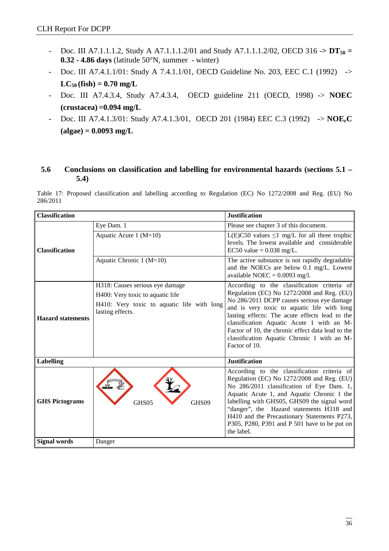- Doc. III A7.1.1.1.2, Study A A7.1.1.1.2/01 and Study A7.1.1.1.2/02, OECD 316 ->  $DT_{50}$  = **0.32 - 4.86 days** (latitude 50°N, summer - winter)
- Doc. III A7.4.1.1/01: Study A 7.4.1.1/01, OECD Guideline No. 203, EEC C.1 (1992) ->  $LC_{50}$  (fish) = 0.70 mg/L
- Doc. III A7.4.3.4, Study A7.4.3.4, OECD guideline 211 (OECD, 1998) -> **NOEC (crustacea) =0.094 mg/L**
- Doc. III A7.4.1.3/01: Study A7.4.1.3/01, OECD 201 (1984) EEC C.3 (1992) -> **NOErC (algae) = 0.0093 mg/L**

#### **5.6 Conclusions on classification and labelling for environmental hazards (sections 5.1 – 5.4)**

Table 17: Proposed classification and labelling according to Regulation (EC) No 1272/2008 and Reg. (EU) No 286/2011

| <b>Classification</b>    |                                                                                                                                       | <b>Justification</b>                                                                                                                                                                                                                                                                                                                                                                                            |
|--------------------------|---------------------------------------------------------------------------------------------------------------------------------------|-----------------------------------------------------------------------------------------------------------------------------------------------------------------------------------------------------------------------------------------------------------------------------------------------------------------------------------------------------------------------------------------------------------------|
|                          | Eye Dam. 1                                                                                                                            | Please see chapter 3 of this document.                                                                                                                                                                                                                                                                                                                                                                          |
| <b>Classification</b>    | Aquatic Acute 1 $(M=10)$                                                                                                              | L(E)C50 values $\leq$ 1 mg/L for all three trophic<br>levels. The lowest available and considerable<br>EC50 value = $0.038$ mg/L.                                                                                                                                                                                                                                                                               |
|                          | Aquatic Chronic 1 (M=10)                                                                                                              | The active substance is not rapidly degradable<br>and the NOECs are below 0.1 mg/L. Lowest<br>available NOEC = $0.0093$ mg/l.                                                                                                                                                                                                                                                                                   |
| <b>Hazard statements</b> | H318: Causes serious eye damage<br>H400: Very toxic to aquatic life<br>H410: Very toxic to aquatic life with long<br>lasting effects. | According to the classification criteria of<br>Regulation (EC) No $1272/2008$ and Reg. (EU)<br>No 286/2011 DCPP causes serious eye damage<br>and is very toxic to aquatic life with long<br>lasting effects: The acute effects lead to the<br>classification Aquatic Acute 1 with an $M$ -<br>Factor of 10, the chronic effect data lead to the<br>classification Aquatic Chronic 1 with an M-<br>Factor of 10. |
| <b>Labelling</b>         |                                                                                                                                       | <b>Justification</b>                                                                                                                                                                                                                                                                                                                                                                                            |
| <b>GHS Pictograms</b>    | GHS05<br>GHS09                                                                                                                        | According to the classification criteria of<br>Regulation (EC) No $1272/2008$ and Reg. (EU)<br>No 286/2011 classification of Eye Dam. 1,<br>Aquatic Acute 1, and Aquatic Chronic 1 the<br>labelling with GHS05, GHS09 the signal word<br>"danger", the Hazard statements H318 and<br>H410 and the Precautionary Statements P273,<br>P305, P280, P391 and P 501 have to be put on<br>the label.                  |
| <b>Signal words</b>      | Danger                                                                                                                                |                                                                                                                                                                                                                                                                                                                                                                                                                 |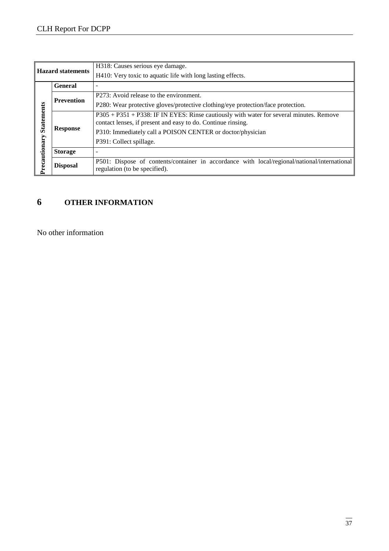| <b>Hazard statements</b> |                   | H318: Causes serious eye damage.                                                                                                                                                                                      |
|--------------------------|-------------------|-----------------------------------------------------------------------------------------------------------------------------------------------------------------------------------------------------------------------|
|                          |                   | H410: Very toxic to aquatic life with long lasting effects.                                                                                                                                                           |
| <b>General</b>           |                   |                                                                                                                                                                                                                       |
|                          | <b>Prevention</b> | P273: Avoid release to the environment.                                                                                                                                                                               |
| <b>Statements</b>        |                   | P280: Wear protective gloves/protective clothing/eye protection/face protection.                                                                                                                                      |
|                          | <b>Response</b>   | P305 + P351 + P338: IF IN EYES: Rinse cautiously with water for several minutes. Remove<br>contact lenses, if present and easy to do. Continue rinsing.<br>P310: Immediately call a POISON CENTER or doctor/physician |
|                          |                   | P391: Collect spillage.                                                                                                                                                                                               |
|                          | <b>Storage</b>    |                                                                                                                                                                                                                       |
| Precautionary            | <b>Disposal</b>   | P501: Dispose of contents/container in accordance with local/regional/national/international<br>regulation (to be specified).                                                                                         |

## **6 OTHER INFORMATION**

No other information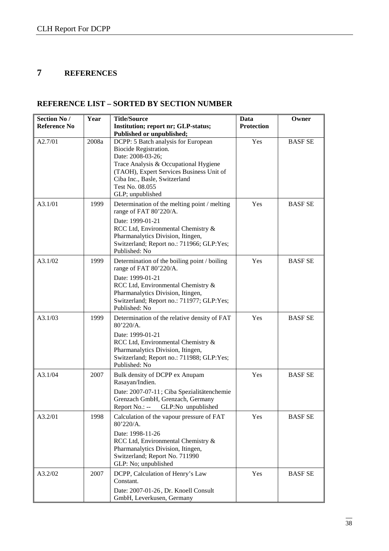## **7 REFERENCES**

#### **REFERENCE LIST – SORTED BY SECTION NUMBER**

| Section No /        | Year  | <b>Title/Source</b>                                                                                                                                                                                                                            | Data              | Owner          |
|---------------------|-------|------------------------------------------------------------------------------------------------------------------------------------------------------------------------------------------------------------------------------------------------|-------------------|----------------|
| <b>Reference No</b> |       | Institution; report nr; GLP-status;                                                                                                                                                                                                            | <b>Protection</b> |                |
|                     |       | Published or unpublished;                                                                                                                                                                                                                      |                   |                |
| A2.7/01             | 2008a | DCPP: 5 Batch analysis for European<br>Biocide Registration.<br>Date: 2008-03-26;<br>Trace Analysis & Occupational Hygiene<br>(TAOH), Expert Services Business Unit of<br>Ciba Inc., Basle, Switzerland<br>Test No. 08.055<br>GLP; unpublished | Yes               | <b>BASF SE</b> |
| A3.1/01             | 1999  | Determination of the melting point / melting<br>range of FAT 80'220/A.<br>Date: 1999-01-21<br>RCC Ltd, Environmental Chemistry &<br>Pharmanalytics Division, Itingen,<br>Switzerland; Report no.: 711966; GLP:Yes;<br>Published: No            | Yes               | <b>BASF SE</b> |
| A3.1/02             | 1999  | Determination of the boiling point / boiling<br>range of FAT 80'220/A.<br>Date: 1999-01-21<br>RCC Ltd, Environmental Chemistry &<br>Pharmanalytics Division, Itingen,<br>Switzerland; Report no.: 711977; GLP:Yes;<br>Published: No            | Yes               | <b>BASF SE</b> |
| A3.1/03             | 1999  | Determination of the relative density of FAT<br>80'220/A.<br>Date: 1999-01-21<br>RCC Ltd, Environmental Chemistry &<br>Pharmanalytics Division, Itingen,<br>Switzerland; Report no.: 711988; GLP:Yes;<br>Published: No                         | Yes               | <b>BASF SE</b> |
| A3.1/04             | 2007  | Bulk density of DCPP ex Anupam<br>Rasayan/Indien.<br>Date: 2007-07-11; Ciba Spezialitätenchemie<br>Grenzach GmbH, Grenzach, Germany<br>Report No.: -- GLP:No unpublished                                                                       | Yes               | <b>BASF SE</b> |
| A3.2/01             | 1998  | Calculation of the vapour pressure of FAT<br>80'220/A.<br>Date: 1998-11-26<br>RCC Ltd, Environmental Chemistry &<br>Pharmanalytics Division, Itingen,<br>Switzerland; Report No. 711990<br>GLP: No; unpublished                                | Yes               | <b>BASF SE</b> |
| A3.2/02             | 2007  | DCPP, Calculation of Henry's Law<br>Constant.<br>Date: 2007-01-26, Dr. Knoell Consult<br>GmbH, Leverkusen, Germany                                                                                                                             | Yes               | <b>BASF SE</b> |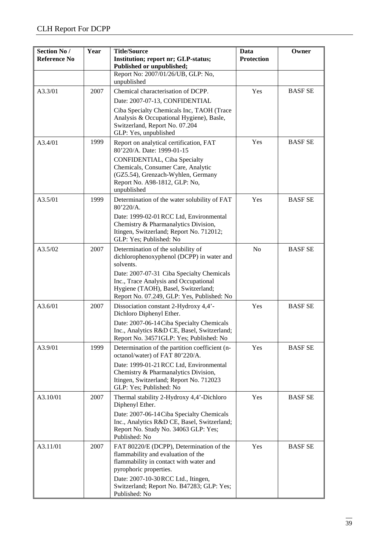| Section No /<br><b>Reference No</b> | Year | <b>Title/Source</b><br>Institution; report nr; GLP-status;<br>Published or unpublished;                                                                                                                                                                                 | Data<br><b>Protection</b> | Owner          |
|-------------------------------------|------|-------------------------------------------------------------------------------------------------------------------------------------------------------------------------------------------------------------------------------------------------------------------------|---------------------------|----------------|
|                                     |      | Report No: 2007/01/26/UB, GLP: No,<br>unpublished                                                                                                                                                                                                                       |                           |                |
| A3.3/01                             | 2007 | Chemical characterisation of DCPP.<br>Date: 2007-07-13, CONFIDENTIAL                                                                                                                                                                                                    | Yes                       | <b>BASF SE</b> |
|                                     |      | Ciba Specialty Chemicals Inc, TAOH (Trace<br>Analysis & Occupational Hygiene), Basle,<br>Switzerland, Report No. 07.204<br>GLP: Yes, unpublished                                                                                                                        |                           |                |
| A3.4/01                             | 1999 | Report on analytical certification, FAT<br>80'220/A. Date: 1999-01-15<br><b>CONFIDENTIAL, Ciba Specialty</b><br>Chemicals, Consumer Care, Analytic                                                                                                                      | Yes                       | <b>BASF SE</b> |
|                                     |      | (GZ5.54), Grenzach-Wyhlen, Germany<br>Report No. A98-1812, GLP: No,<br>unpublished                                                                                                                                                                                      |                           |                |
| A3.5/01                             | 1999 | Determination of the water solubility of FAT<br>80'220/A.<br>Date: 1999-02-01 RCC Ltd, Environmental                                                                                                                                                                    | Yes                       | <b>BASF SE</b> |
|                                     |      | Chemistry & Pharmanalytics Division,<br>Itingen, Switzerland; Report No. 712012;<br>GLP: Yes; Published: No                                                                                                                                                             |                           |                |
| A3.5/02                             | 2007 | Determination of the solubility of<br>dichlorophenoxyphenol (DCPP) in water and<br>solvents.<br>Date: 2007-07-31 Ciba Specialty Chemicals<br>Inc., Trace Analysis and Occupational<br>Hygiene (TAOH), Basel, Switzerland;<br>Report No. 07.249, GLP: Yes, Published: No | N <sub>o</sub>            | <b>BASF SE</b> |
| A3.6/01                             | 2007 | Dissociation constant 2-Hydroxy 4,4'-<br>Dichloro Diphenyl Ether.                                                                                                                                                                                                       | Yes                       | <b>BASFSE</b>  |
|                                     |      | Date: 2007-06-14 Ciba Specialty Chemicals<br>Inc., Analytics R&D CE, Basel, Switzerland;<br>Report No. 34571GLP: Yes; Published: No                                                                                                                                     |                           |                |
| A3.9/01                             | 1999 | Determination of the partition coefficient (n-<br>octanol/water) of FAT 80'220/A.                                                                                                                                                                                       | Yes                       | <b>BASF SE</b> |
|                                     |      | Date: 1999-01-21 RCC Ltd, Environmental<br>Chemistry & Pharmanalytics Division,<br>Itingen, Switzerland; Report No. 712023<br>GLP: Yes; Published: No                                                                                                                   |                           |                |
| A3.10/01                            | 2007 | Thermal stability 2-Hydroxy 4,4'-Dichloro<br>Diphenyl Ether.                                                                                                                                                                                                            | Yes                       | <b>BASF SE</b> |
|                                     |      | Date: 2007-06-14 Ciba Specialty Chemicals<br>Inc., Analytics R&D CE, Basel, Switzerland;<br>Report No. Study No. 34063 GLP: Yes;<br>Published: No                                                                                                                       |                           |                |
| A3.11/01                            | 2007 | FAT 80220/E (DCPP), Determination of the<br>flammability and evaluation of the<br>flammability in contact with water and<br>pyrophoric properties.                                                                                                                      | Yes                       | <b>BASF SE</b> |
|                                     |      | Date: 2007-10-30 RCC Ltd., Itingen,<br>Switzerland; Report No. B47283; GLP: Yes;<br>Published: No                                                                                                                                                                       |                           |                |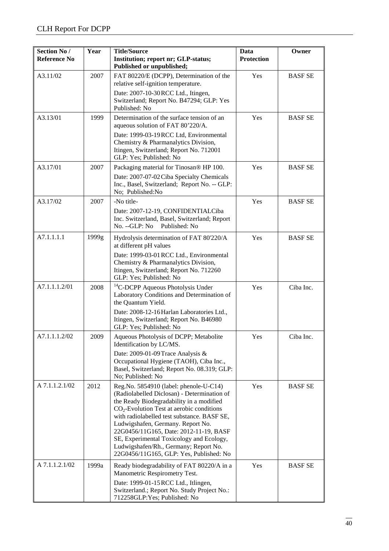| <b>Section No /</b><br><b>Reference No</b> | Year  | <b>Title/Source</b><br>Institution; report nr; GLP-status;<br>Published or unpublished;                                                                                                                                                                                                                                                                                                                                                        | Data<br><b>Protection</b> | Owner          |
|--------------------------------------------|-------|------------------------------------------------------------------------------------------------------------------------------------------------------------------------------------------------------------------------------------------------------------------------------------------------------------------------------------------------------------------------------------------------------------------------------------------------|---------------------------|----------------|
| A3.11/02                                   | 2007  | FAT 80220/E (DCPP), Determination of the<br>relative self-ignition temperature.<br>Date: 2007-10-30 RCC Ltd., Itingen,<br>Switzerland; Report No. B47294; GLP: Yes                                                                                                                                                                                                                                                                             | Yes                       | <b>BASF SE</b> |
| A3.13/01                                   | 1999  | Published: No<br>Determination of the surface tension of an                                                                                                                                                                                                                                                                                                                                                                                    | Yes                       | <b>BASF SE</b> |
|                                            |       | aqueous solution of FAT 80'220/A.<br>Date: 1999-03-19 RCC Ltd, Environmental<br>Chemistry & Pharmanalytics Division,<br>Itingen, Switzerland; Report No. 712001<br>GLP: Yes; Published: No                                                                                                                                                                                                                                                     |                           |                |
| A3.17/01                                   | 2007  | Packaging material for Tinosan® HP 100.<br>Date: 2007-07-02 Ciba Specialty Chemicals<br>Inc., Basel, Switzerland; Report No. -- GLP:<br>No; Published:No                                                                                                                                                                                                                                                                                       | Yes                       | <b>BASF SE</b> |
| A3.17/02                                   | 2007  | -No title-<br>Date: 2007-12-19, CONFIDENTIALCiba<br>Inc. Switzerland, Basel, Switzerland; Report<br>$No. -GLP: No$<br>Published: No                                                                                                                                                                                                                                                                                                            | Yes                       | <b>BASF SE</b> |
| A7.1.1.1.1                                 | 1999g | Hydrolysis determination of FAT 80'220/A<br>at different pH values<br>Date: 1999-03-01 RCC Ltd., Environmental<br>Chemistry & Pharmanalytics Division,<br>Itingen, Switzerland; Report No. 712260<br>GLP: Yes; Published: No                                                                                                                                                                                                                   | Yes                       | <b>BASF SE</b> |
| A7.1.1.1.2/01                              | 2008  | <sup>14</sup> C-DCPP Aqueous Photolysis Under<br>Laboratory Conditions and Determination of<br>the Quantum Yield.<br>Date: 2008-12-16 Harlan Laboratories Ltd.,<br>Itingen, Switzerland; Report No. B46980<br>GLP: Yes; Published: No                                                                                                                                                                                                          | Yes                       | Ciba Inc.      |
| A7.1.1.1.2/02                              | 2009  | Aqueous Photolysis of DCPP; Metabolite<br>Identification by LC/MS.<br>Date: 2009-01-09 Trace Analysis &<br>Occupational Hygiene (TAOH), Ciba Inc.,<br>Basel, Switzerland; Report No. 08.319; GLP:<br>No; Published: No                                                                                                                                                                                                                         | Yes                       | Ciba Inc.      |
| A 7.1.1.2.1/02                             | 2012  | Reg.No. 5854910 (label: phenole-U-C14)<br>(Radiolabelled Diclosan) - Determination of<br>the Ready Biodegradability in a modified<br>$CO2$ -Evolution Test at aerobic conditions<br>with radiolabelled test substance. BASF SE,<br>Ludwigshafen, Germany. Report No.<br>22G0456/11G165, Date: 2012-11-19, BASF<br>SE, Experimental Toxicology and Ecology,<br>Ludwigshafen/Rh., Germany; Report No.<br>22G0456/11G165, GLP: Yes, Published: No | Yes                       | <b>BASF SE</b> |
| A 7.1.1.2.1/02                             | 1999a | Ready biodegradability of FAT 80220/A in a<br>Manometric Respirometry Test.<br>Date: 1999-01-15 RCC Ltd., Itlingen,<br>Switzerland.; Report No. Study Project No.:<br>712258GLP: Yes; Published: No                                                                                                                                                                                                                                            | Yes                       | <b>BASF SE</b> |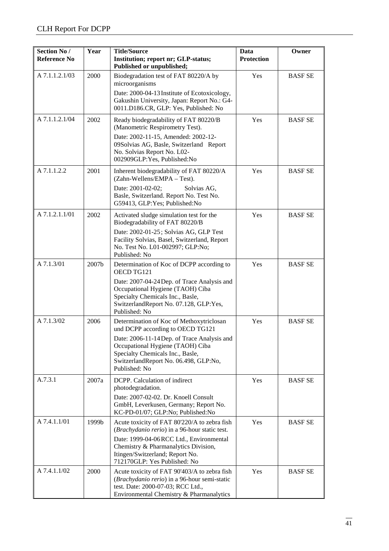| <b>Section No /</b><br><b>Reference No</b> | Year  | <b>Title/Source</b><br>Institution; report nr; GLP-status;<br>Published or unpublished;                                                                                                                                                                       | Data<br><b>Protection</b> | Owner          |
|--------------------------------------------|-------|---------------------------------------------------------------------------------------------------------------------------------------------------------------------------------------------------------------------------------------------------------------|---------------------------|----------------|
| A 7.1.1.2.1/03                             | 2000  | Biodegradation test of FAT 80220/A by<br>microorganisms<br>Date: 2000-04-13 Institute of Ecotoxicology,<br>Gakushin University, Japan: Report No.: G4-<br>0011.D186.CR, GLP: Yes, Published: No                                                               | Yes                       | <b>BASF SE</b> |
| A 7.1.1.2.1/04                             | 2002  | Ready biodegradability of FAT 80220/B<br>(Manometric Respirometry Test).<br>Date: 2002-11-15, Amended: 2002-12-<br>09Solvias AG, Basle, Switzerland Report<br>No. Solvias Report No. L02-<br>002909GLP: Yes, Published: No                                    | Yes                       | <b>BASF SE</b> |
| A 7.1.1.2.2                                | 2001  | Inherent biodegradability of FAT 80220/A<br>(Zahn-Wellens/EMPA - Test).<br>Date: 2001-02-02;<br>Solvias AG,<br>Basle, Switzerland. Report No. Test No.<br>G59413, GLP:Yes; Published:No                                                                       | Yes                       | <b>BASF SE</b> |
| A 7.1.2.1.1/01                             | 2002  | Activated sludge simulation test for the<br>Biodegradability of FAT 80220/B<br>Date: 2002-01-25; Solvias AG, GLP Test<br>Facility Solvias, Basel, Switzerland, Report<br>No. Test No. L01-002997; GLP:No;<br>Published: No                                    | Yes                       | <b>BASF SE</b> |
| A 7.1.3/01                                 | 2007b | Determination of Koc of DCPP according to<br>OECD TG121<br>Date: 2007-04-24 Dep. of Trace Analysis and<br>Occupational Hygiene (TAOH) Ciba<br>Specialty Chemicals Inc., Basle,<br>SwitzerlandReport No. 07.128, GLP:Yes,<br>Published: No                     | Yes                       | <b>BASF SE</b> |
| A 7.1.3/02                                 | 2006  | Determination of Koc of Methoxytriclosan<br>und DCPP according to OECD TG121<br>Date: 2006-11-14 Dep. of Trace Analysis and<br>Occupational Hygiene (TAOH) Ciba<br>Specialty Chemicals Inc., Basle,<br>SwitzerlandReport No. 06.498, GLP:No,<br>Published: No | Yes                       | <b>BASF SE</b> |
| A.7.3.1                                    | 2007a | DCPP. Calculation of indirect<br>photodegradation.<br>Date: 2007-02-02. Dr. Knoell Consult<br>GmbH, Leverkusen, Germany; Report No.<br>KC-PD-01/07; GLP:No; Published:No                                                                                      | Yes                       | <b>BASF SE</b> |
| A 7.4.1.1/01                               | 1999b | Acute toxicity of FAT 80'220/A to zebra fish<br>(Brachydanio rerio) in a 96-hour static test.<br>Date: 1999-04-06 RCC Ltd., Environmental<br>Chemistry & Pharmanalytics Division,<br>Itingen/Switzerland; Report No.<br>712170GLP: Yes Published: No          | Yes                       | <b>BASF SE</b> |
| A 7.4.1.1/02                               | 2000  | Acute toxicity of FAT 90'403/A to zebra fish<br>(Brachydanio rerio) in a 96-hour semi-static<br>test. Date: 2000-07-03; RCC Ltd.,<br>Environmental Chemistry & Pharmanalytics                                                                                 | Yes                       | <b>BASF SE</b> |